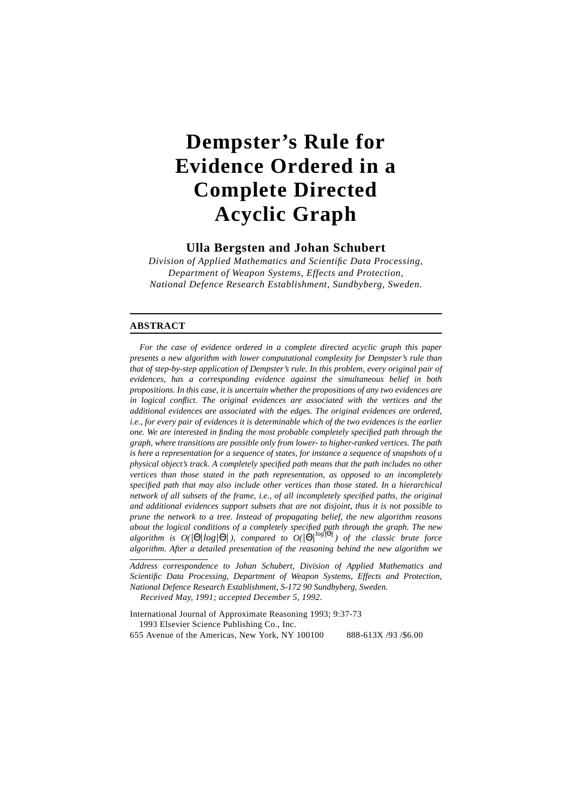# **Dempster's Rule for Evidence Ordered in a Complete Directed Acyclic Graph**

**Ulla Bergsten and Johan Schubert**

*Division of Applied Mathematics and Scientific Data Processing, Department of Weapon Systems, Effects and Protection, National Defence Research Establishment, Sundbyberg, Sweden.*

### **ABSTRACT**

*For the case of evidence ordered in a complete directed acyclic graph this paper presents a new algorithm with lower computational complexity for Dempster's rule than that of step-by-step application of Dempster's rule. In this problem, every original pair of evidences, has a corresponding evidence against the simultaneous belief in both propositions. In this case, it is uncertain whether the propositions of any two evidences are in logical conflict. The original evidences are associated with the vertices and the additional evidences are associated with the edges. The original evidences are ordered, i.e., for every pair of evidences it is determinable which of the two evidences is the earlier one. We are interested in finding the most probable completely specified path through the graph, where transitions are possible only from lower- to higher-ranked vertices. The path is here a representation for a sequence of states, for instance a sequence of snapshots of a physical object's track. A completely specified path means that the path includes no other vertices than those stated in the path representation, as opposed to an incompletely specified path that may also include other vertices than those stated. In a hierarchical network of all subsets of the frame, i.e., of all incompletely specified paths, the original and additional evidences support subsets that are not disjoint, thus it is not possible to prune the network to a tree. Instead of propagating belief, the new algorithm reasons about the logical conditions of a completely specified path through the graph. The new*  $a$ lgorithm is  $O(|\Theta| \log |\Theta|)$ , compared to  $O(|\Theta| \log |\Theta|)$  of the classic brute force *algorithm. After a detailed presentation of the reasoning behind the new algorithm we*

*Address correspondence to Johan Schubert, Division of Applied Mathematics and Scientific Data Processing, Department of Weapon Systems, Effects and Protection, National Defence Research Establishment, S-172 90 Sundbyberg, Sweden. Received May, 1991; accepted December 5, 1992.*

International Journal of Approximate Reasoning 1993; 9:37-73 1993 Elsevier Science Publishing Co., Inc. 655 Avenue of the Americas, New York, NY 100100 888-613X /93 /\$6.00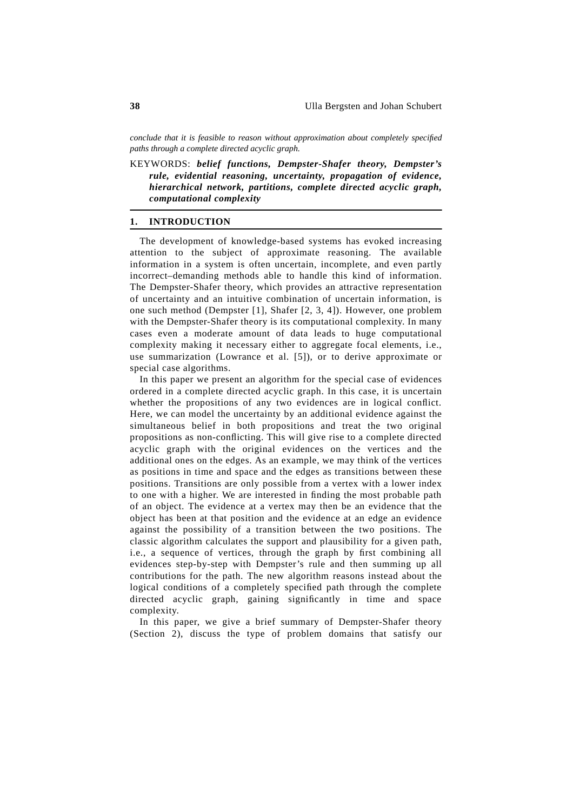*conclude that it is feasible to reason without approximation about completely specified paths through a complete directed acyclic graph.*

KEYWORDS: *belief functions, Dempster-Shafer theory, Dempster's rule, evidential reasoning, uncertainty, propagation of evidence, hierarchical network, partitions, complete directed acyclic graph, computational complexity*

### **1. INTRODUCTION**

The development of knowledge-based systems has evoked increasing attention to the subject of approximate reasoning. The available information in a system is often uncertain, incomplete, and even partly incorrect\_demanding methods able to handle this kind of information. The Dempster-Shafer theory, which provides an attractive representation of uncertainty and an intuitive combination of uncertain information, is one such method (Dempster [1], Shafer [2, 3, 4]). However, one problem with the Dempster-Shafer theory is its computational complexity. In many cases even a moderate amount of data leads to huge computational complexity making it necessary either to aggregate focal elements, i.e., use summarization (Lowrance et al. [5]), or to derive approximate or special case algorithms.

In this paper we present an algorithm for the special case of evidences ordered in a complete directed acyclic graph. In this case, it is uncertain whether the propositions of any two evidences are in logical conflict. Here, we can model the uncertainty by an additional evidence against the simultaneous belief in both propositions and treat the two original propositions as non-conflicting. This will give rise to a complete directed acyclic graph with the original evidences on the vertices and the additional ones on the edges. As an example, we may think of the vertices as positions in time and space and the edges as transitions between these positions. Transitions are only possible from a vertex with a lower index to one with a higher. We are interested in finding the most probable path of an object. The evidence at a vertex may then be an evidence that the object has been at that position and the evidence at an edge an evidence against the possibility of a transition between the two positions. The classic algorithm calculates the support and plausibility for a given path, i.e., a sequence of vertices, through the graph by first combining all evidences step-by-step with Dempster's rule and then summing up all contributions for the path. The new algorithm reasons instead about the logical conditions of a completely specified path through the complete directed acyclic graph, gaining significantly in time and space complexity.

In this paper, we give a brief summary of Dempster-Shafer theory (Section 2), discuss the type of problem domains that satisfy our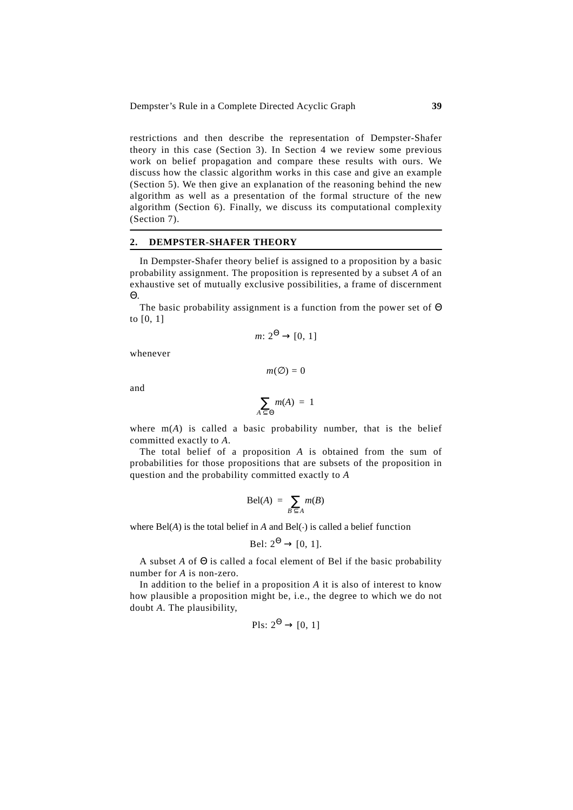restrictions and then describe the representation of Dempster-Shafer theory in this case (Section 3). In Section 4 we review some previous work on belief propagation and compare these results with ours. We discuss how the classic algorithm works in this case and give an example (Section 5). We then give an explanation of the reasoning behind the new algorithm as well as a presentation of the formal structure of the new algorithm (Section 6). Finally, we discuss its computational complexity (Section 7).

### **2. DEMPSTER-SHAFER THEORY**

In Dempster-Shafer theory belief is assigned to a proposition by a basic probability assignment. The proposition is represented by a subset *A* of an exhaustive set of mutually exclusive possibilities, a frame of discernment Θ.

The basic probability assignment is a function from the power set of Θ to [0, 1]

$$
m: 2^{\Theta} \to [0, 1]
$$

whenever

 $m(\emptyset) = 0$ 

and

$$
\sum_{A \subseteq \Theta} m(A) = 1
$$

where  $m(A)$  is called a basic probability number, that is the belief committed exactly to *A*.

The total belief of a proposition *A* is obtained from the sum of probabilities for those propositions that are subsets of the proposition in question and the probability committed exactly to *A*

$$
\text{Bel}(A) = \sum_{B \subseteq A} m(B)
$$

where  $Bel(A)$  is the total belief in *A* and  $Bel(\cdot)$  is called a belief function

$$
Bel: 2^{\Theta} \to [0, 1].
$$

A subset *A* of Θ is called a focal element of Bel if the basic probability number for *A* is non-zero.

In addition to the belief in a proposition *A* it is also of interest to know how plausible a proposition might be, i.e., the degree to which we do not doubt *A*. The plausibility,

$$
PIs: 2^{\Theta} \to [0, 1]
$$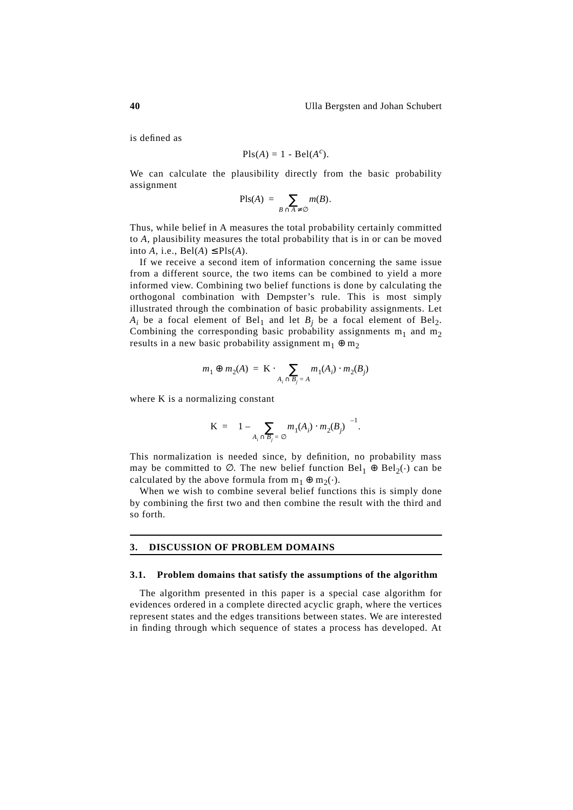is defined as

$$
Pls(A) = 1 - Bel(A^c).
$$

We can calculate the plausibility directly from the basic probability assignment

$$
\mathrm{Pls}(A) = \sum_{B \cap A \neq \varnothing} m(B).
$$

Thus, while belief in A measures the total probability certainly committed to *A*, plausibility measures the total probability that is in or can be moved into A, i.e.,  $Bel(A) \leq Pls(A)$ .

If we receive a second item of information concerning the same issue from a different source, the two items can be combined to yield a more informed view. Combining two belief functions is done by calculating the orthogonal combination with Dempster's rule. This is most simply illustrated through the combination of basic probability assignments. Let  $A_i$  be a focal element of Bel<sub>1</sub> and let  $B_i$  be a focal element of Bel<sub>2</sub>. Combining the corresponding basic probability assignments  $m_1$  and  $m_2$ results in a new basic probability assignment  $m_1 \oplus m_2$ 

$$
m_1 \oplus m_2(A) = \mathbf{K} \cdot \sum_{A_i \cap B_j = A} m_1(A_i) \cdot m_2(B_j)
$$

where K is a normalizing constant

$$
\mathbf{K} = \bigg(1 - \sum_{A_i \cap B_j = \emptyset} m_1(A_i) \cdot m_2(B_j)\bigg)^{-1}.
$$

This normalization is needed since, by definition, no probability mass may be committed to  $\emptyset$ . The new belief function Bel<sub>1</sub> ⊕ Bel<sub>2</sub>(.) can be calculated by the above formula from  $m_1 \oplus m_2(\cdot)$ .

When we wish to combine several belief functions this is simply done by combining the first two and then combine the result with the third and so forth.

### **3. DISCUSSION OF PROBLEM DOMAINS**

### **3.1. Problem domains that satisfy the assumptions of the algorithm**

The algorithm presented in this paper is a special case algorithm for evidences ordered in a complete directed acyclic graph, where the vertices represent states and the edges transitions between states. We are interested in finding through which sequence of states a process has developed. At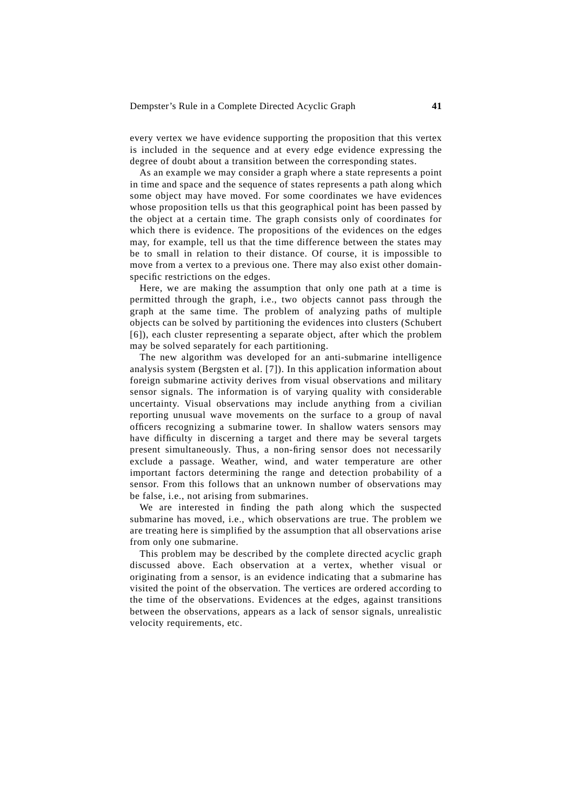every vertex we have evidence supporting the proposition that this vertex is included in the sequence and at every edge evidence expressing the degree of doubt about a transition between the corresponding states.

As an example we may consider a graph where a state represents a point in time and space and the sequence of states represents a path along which some object may have moved. For some coordinates we have evidences whose proposition tells us that this geographical point has been passed by the object at a certain time. The graph consists only of coordinates for which there is evidence. The propositions of the evidences on the edges may, for example, tell us that the time difference between the states may be to small in relation to their distance. Of course, it is impossible to move from a vertex to a previous one. There may also exist other domainspecific restrictions on the edges.

Here, we are making the assumption that only one path at a time is permitted through the graph, i.e., two objects cannot pass through the graph at the same time. The problem of analyzing paths of multiple objects can be solved by partitioning the evidences into clusters (Schubert [6]), each cluster representing a separate object, after which the problem may be solved separately for each partitioning.

The new algorithm was developed for an anti-submarine intelligence analysis system (Bergsten et al. [7]). In this application information about foreign submarine activity derives from visual observations and military sensor signals. The information is of varying quality with considerable uncertainty. Visual observations may include anything from a civilian reporting unusual wave movements on the surface to a group of naval officers recognizing a submarine tower. In shallow waters sensors may have difficulty in discerning a target and there may be several targets present simultaneously. Thus, a non-firing sensor does not necessarily exclude a passage. Weather, wind, and water temperature are other important factors determining the range and detection probability of a sensor. From this follows that an unknown number of observations may be false, i.e., not arising from submarines.

We are interested in finding the path along which the suspected submarine has moved, i.e., which observations are true. The problem we are treating here is simplified by the assumption that all observations arise from only one submarine.

This problem may be described by the complete directed acyclic graph discussed above. Each observation at a vertex, whether visual or originating from a sensor, is an evidence indicating that a submarine has visited the point of the observation. The vertices are ordered according to the time of the observations. Evidences at the edges, against transitions between the observations, appears as a lack of sensor signals, unrealistic velocity requirements, etc.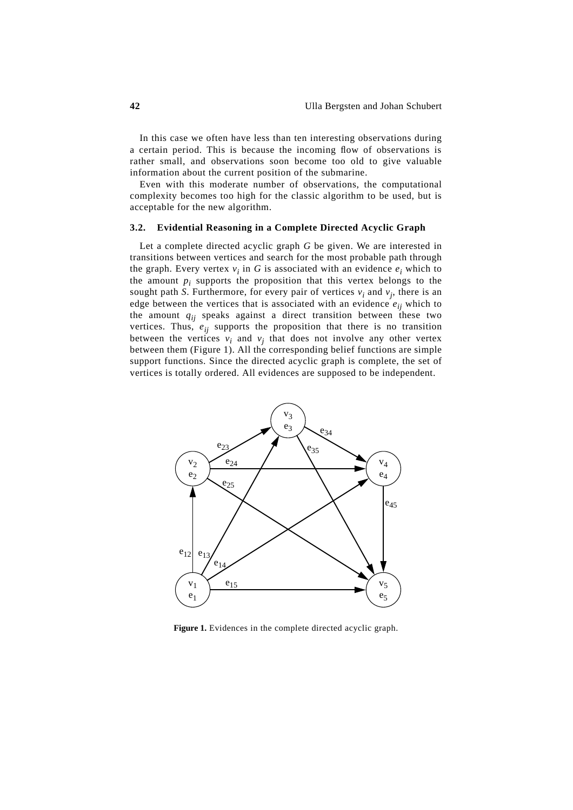In this case we often have less than ten interesting observations during a certain period. This is because the incoming flow of observations is rather small, and observations soon become too old to give valuable information about the current position of the submarine.

Even with this moderate number of observations, the computational complexity becomes too high for the classic algorithm to be used, but is acceptable for the new algorithm.

# **3.2. Evidential Reasoning in a Complete Directed Acyclic Graph**

Let a complete directed acyclic graph *G* be given. We are interested in transitions between vertices and search for the most probable path through the graph. Every vertex  $v_i$  in  $G$  is associated with an evidence  $e_i$  which to the amount  $p_i$  supports the proposition that this vertex belongs to the sought path *S*. Furthermore, for every pair of vertices  $v_i$  and  $v_j$ , there is an edge between the vertices that is associated with an evidence  $e_{ii}$  which to the amount  $q_{ij}$  speaks against a direct transition between these two vertices. Thus,  $e_{ij}$  supports the proposition that there is no transition between the vertices  $v_i$  and  $v_j$  that does not involve any other vertex between them (Figure 1). All the corresponding belief functions are simple support functions. Since the directed acyclic graph is complete, the set of vertices is totally ordered. All evidences are supposed to be independent.



**Figure 1.** Evidences in the complete directed acyclic graph.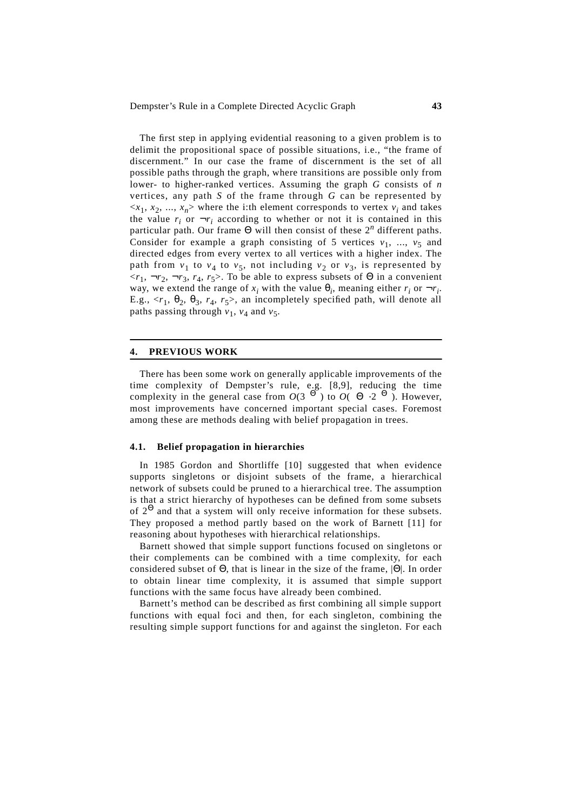The first step in applying evidential reasoning to a given problem is to delimit the propositional space of possible situations, i.e., "the frame of discernment." In our case the frame of discernment is the set of all possible paths through the graph, where transitions are possible only from lower- to higher-ranked vertices. Assuming the graph *G* consists of *n* vertices, any path *S* of the frame through *G* can be represented by  $\langle x_1, x_2, ..., x_n \rangle$  where the i:th element corresponds to vertex  $v_i$  and takes the value  $r_i$  or  $\neg r_i$  according to whether or not it is contained in this particular path. Our frame  $\Theta$  will then consist of these  $2^n$  different paths. Consider for example a graph consisting of 5 vertices  $v_1$ , ...,  $v_5$  and directed edges from every vertex to all vertices with a higher index. The path from  $v_1$  to  $v_4$  to  $v_5$ , not including  $v_2$  or  $v_3$ , is represented by  $\langle r_1, \neg r_2, \neg r_3, r_4, r_5 \rangle$ . To be able to express subsets of  $\Theta$  in a convenient way, we extend the range of  $x_i$  with the value  $\theta_i$ , meaning either  $r_i$  or  $\neg r_i$ . E.g.,  $\langle r_1, \theta_2, \theta_3, r_4, r_5 \rangle$ , an incompletely specified path, will denote all paths passing through  $v_1$ ,  $v_4$  and  $v_5$ .

### **4. PREVIOUS WORK**

There has been some work on generally applicable improvements of the time complexity of Dempster's rule, e.g. [8,9], reducing the time complexity in the general case from  $O(3^{|\Theta|})$  to  $O(|\Theta| \cdot 2^{|\Theta|})$ . However, most improvements have concerned important special cases. Foremost among these are methods dealing with belief propagation in trees.

### **4.1. Belief propagation in hierarchies**

In 1985 Gordon and Shortliffe [10] suggested that when evidence supports singletons or disjoint subsets of the frame, a hierarchical network of subsets could be pruned to a hierarchical tree. The assumption is that a strict hierarchy of hypotheses can be defined from some subsets of  $2^{\Theta}$  and that a system will only receive information for these subsets. They proposed a method partly based on the work of Barnett [11] for reasoning about hypotheses with hierarchical relationships.

Barnett showed that simple support functions focused on singletons or their complements can be combined with a time complexity, for each considered subset of Θ, that is linear in the size of the frame, |Θ|. In order to obtain linear time complexity, it is assumed that simple support functions with the same focus have already been combined.

Barnett's method can be described as first combining all simple support functions with equal foci and then, for each singleton, combining the resulting simple support functions for and against the singleton. For each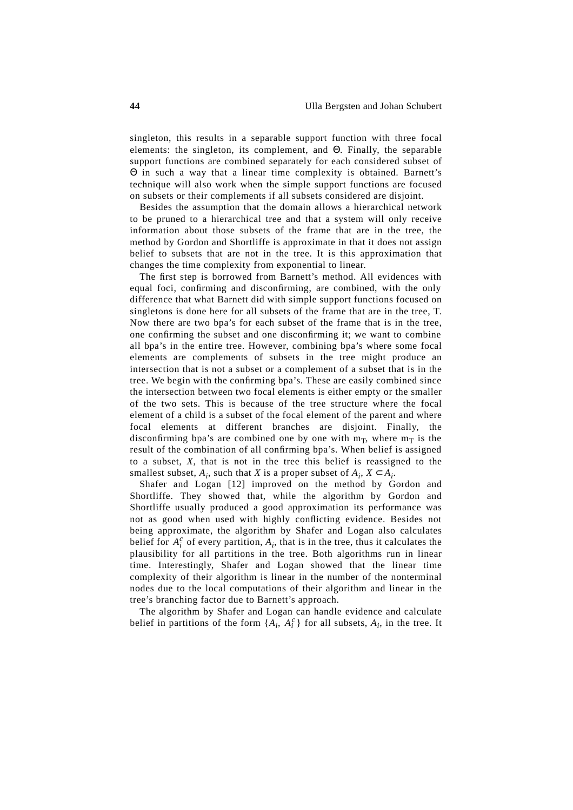singleton, this results in a separable support function with three focal elements: the singleton, its complement, and Θ. Finally, the separable support functions are combined separately for each considered subset of Θ in such a way that a linear time complexity is obtained. Barnett's technique will also work when the simple support functions are focused on subsets or their complements if all subsets considered are disjoint.

Besides the assumption that the domain allows a hierarchical network to be pruned to a hierarchical tree and that a system will only receive information about those subsets of the frame that are in the tree, the method by Gordon and Shortliffe is approximate in that it does not assign belief to subsets that are not in the tree. It is this approximation that changes the time complexity from exponential to linear.

The first step is borrowed from Barnett's method. All evidences with equal foci, confirming and disconfirming, are combined, with the only difference that what Barnett did with simple support functions focused on singletons is done here for all subsets of the frame that are in the tree, T. Now there are two bpa's for each subset of the frame that is in the tree, one confirming the subset and one disconfirming it; we want to combine all bpa's in the entire tree. However, combining bpa's where some focal elements are complements of subsets in the tree might produce an intersection that is not a subset or a complement of a subset that is in the tree. We begin with the confirming bpa's. These are easily combined since the intersection between two focal elements is either empty or the smaller of the two sets. This is because of the tree structure where the focal element of a child is a subset of the focal element of the parent and where focal elements at different branches are disjoint. Finally, the disconfirming bpa's are combined one by one with  $m_T$ , where  $m_T$  is the result of the combination of all confirming bpa's. When belief is assigned to a subset, *X*, that is not in the tree this belief is reassigned to the smallest subset,  $A_i$ , such that *X* is a proper subset of  $A_i$ ,  $X \subset A_i$ .

Shafer and Logan [12] improved on the method by Gordon and Shortliffe. They showed that, while the algorithm by Gordon and Shortliffe usually produced a good approximation its performance was not as good when used with highly conflicting evidence. Besides not being approximate, the algorithm by Shafer and Logan also calculates belief for  $A_i^c$  of every partition,  $A_i$ , that is in the tree, thus it calculates the plausibility for all partitions in the tree. Both algorithms run in linear time. Interestingly, Shafer and Logan showed that the linear time complexity of their algorithm is linear in the number of the nonterminal nodes due to the local computations of their algorithm and linear in the tree's branching factor due to Barnett's approach.

The algorithm by Shafer and Logan can handle evidence and calculate belief in partitions of the form  $\{A_i, A_i^c\}$  for all subsets,  $A_i$ , in the tree. It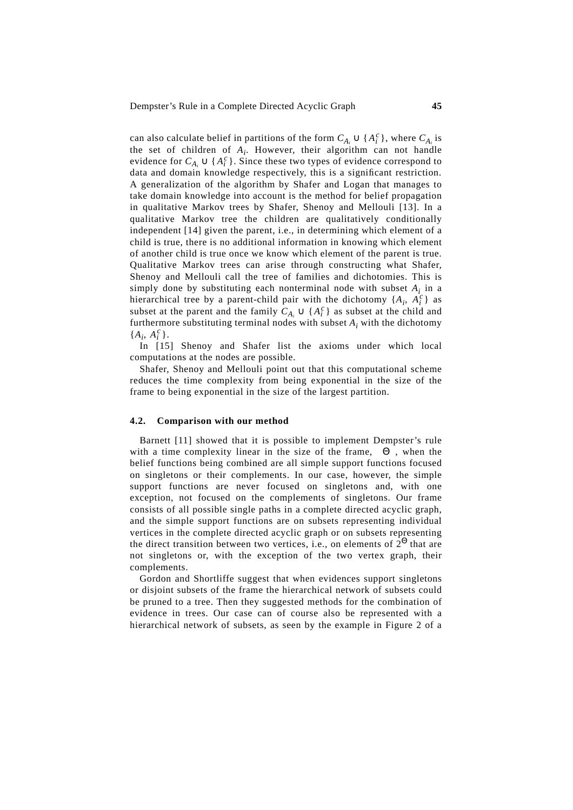can also calculate belief in partitions of the form  $C_{A_i} \cup \{A_i^c\}$ , where  $C_{A_i}$  is the set of children of *Ai*. However, their algorithm can not handle evidence for  $C_{A_i} \cup \{A_i^c\}$ . Since these two types of evidence correspond to data and domain knowledge respectively, this is a significant restriction. A generalization of the algorithm by Shafer and Logan that manages to take domain knowledge into account is the method for belief propagation in qualitative Markov trees by Shafer, Shenoy and Mellouli [13]. In a qualitative Markov tree the children are qualitatively conditionally independent [14] given the parent, i.e., in determining which element of a child is true, there is no additional information in knowing which element of another child is true once we know which element of the parent is true. Qualitative Markov trees can arise through constructing what Shafer, Shenoy and Mellouli call the tree of families and dichotomies. This is simply done by substituting each nonterminal node with subset *Ai* in a hierarchical tree by a parent-child pair with the dichotomy  $\{A_i, A_i^c\}$  as subset at the parent and the family  $C_{A_i} \cup \{A_i^c\}$  as subset at the child and furthermore substituting terminal nodes with subset *Ai* with the dichotomy  ${A_i, A_i^c}.$ 

In [15] Shenoy and Shafer list the axioms under which local computations at the nodes are possible.

Shafer, Shenoy and Mellouli point out that this computational scheme reduces the time complexity from being exponential in the size of the frame to being exponential in the size of the largest partition.

#### **4.2. Comparison with our method**

Barnett [11] showed that it is possible to implement Dempster's rule with a time complexity linear in the size of the frame,  $|\Theta|$ , when the belief functions being combined are all simple support functions focused on singletons or their complements. In our case, however, the simple support functions are never focused on singletons and, with one exception, not focused on the complements of singletons. Our frame consists of all possible single paths in a complete directed acyclic graph, and the simple support functions are on subsets representing individual vertices in the complete directed acyclic graph or on subsets representing the direct transition between two vertices, i.e., on elements of  $2^{\Theta}$  that are not singletons or, with the exception of the two vertex graph, their complements.

Gordon and Shortliffe suggest that when evidences support singletons or disjoint subsets of the frame the hierarchical network of subsets could be pruned to a tree. Then they suggested methods for the combination of evidence in trees. Our case can of course also be represented with a hierarchical network of subsets, as seen by the example in Figure 2 of a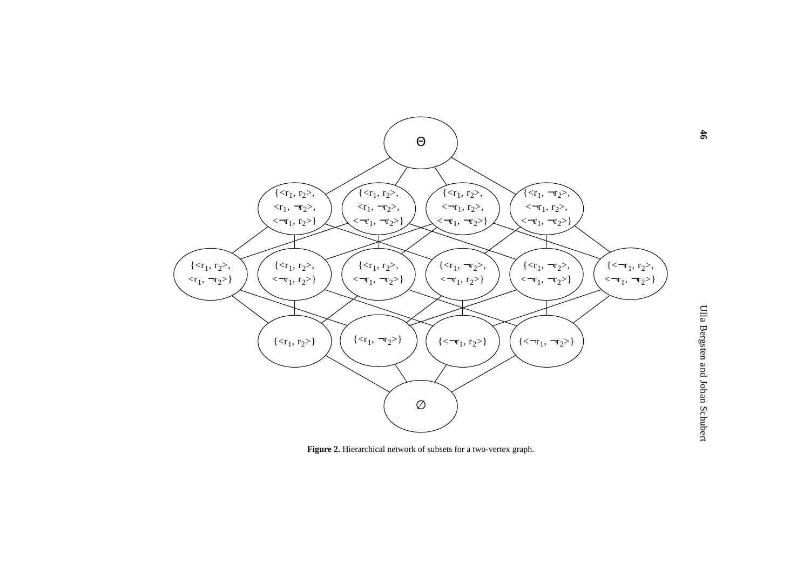

**Figure 2.** Hierarchical network of subsets for a two-vertex graph.

**46**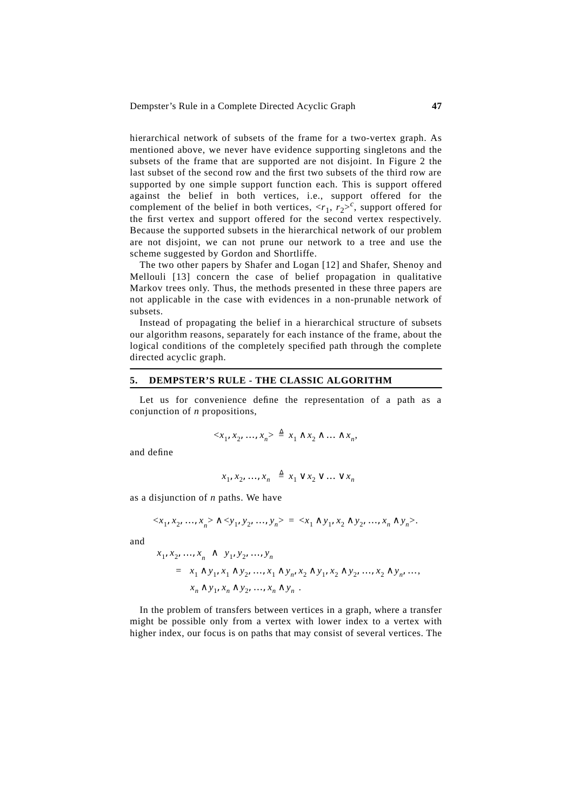hierarchical network of subsets of the frame for a two-vertex graph. As mentioned above, we never have evidence supporting singletons and the subsets of the frame that are supported are not disjoint. In Figure 2 the last subset of the second row and the first two subsets of the third row are supported by one simple support function each. This is support offered against the belief in both vertices, i.e., support offered for the complement of the belief in both vertices,  $\langle r_1, r_2 \rangle^c$ , support offered for the first vertex and support offered for the second vertex respectively. Because the supported subsets in the hierarchical network of our problem are not disjoint, we can not prune our network to a tree and use the scheme suggested by Gordon and Shortliffe.

The two other papers by Shafer and Logan [12] and Shafer, Shenoy and Mellouli [13] concern the case of belief propagation in qualitative Markov trees only. Thus, the methods presented in these three papers are not applicable in the case with evidences in a non-prunable network of subsets.

Instead of propagating the belief in a hierarchical structure of subsets our algorithm reasons, separately for each instance of the frame, about the logical conditions of the completely specified path through the complete directed acyclic graph.

### **5. DEMPSTER'S RULE - THE CLASSIC ALGORITHM**

Let us for convenience define the representation of a path as a conjunction of *n* propositions,

$$
\langle x_1, x_2, \dots, x_n \rangle \stackrel{\Delta}{=} x_1 \wedge x_2 \wedge \dots \wedge x_n,
$$

and define

$$
\langle x_1, x_2, \dots, x_n \rangle \triangleq x_1 \vee x_2 \vee \dots \vee x_n
$$

as a disjunction of *n* paths. We have

$$
\langle x_1, x_2, ..., x_n \rangle \land \langle y_1, y_2, ..., y_n \rangle = \langle x_1 \land y_1, x_2 \land y_2, ..., x_n \land y_n \rangle.
$$

and

$$
\langle x_1, x_2, \dots, x_n \rangle \wedge \langle y_1, y_2, \dots, y_n \rangle
$$
  
=  $\langle x_1 \wedge y_1, x_1 \wedge y_2, \dots, x_1 \wedge y_n, x_2 \wedge y_1, x_2 \wedge y_2, \dots, x_2 \wedge y_n, \dots, x_n \wedge y_1, x_n \wedge y_2, \dots, x_n \wedge y_n \rangle.$ 

In the problem of transfers between vertices in a graph, where a transfer might be possible only from a vertex with lower index to a vertex with higher index, our focus is on paths that may consist of several vertices. The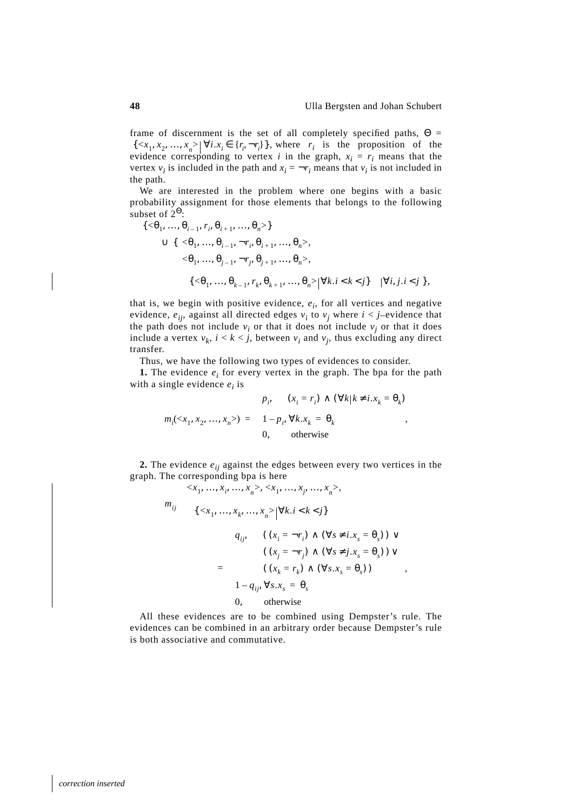,

frame of discernment is the set of all completely specified paths,  $\Theta =$  $\{ \langle x_1, x_2, ..., x_n \rangle \mid \forall i . x_i \in \{r_i, \neg r_i\} \},$  where  $r_i$  is the proposition of the evidence corresponding to vertex *i* in the graph,  $x_i = r_i$  means that the vertex  $v_i$  is included in the path and  $x_i = -r_i$  means that  $v_i$  is not included in the path.

We are interested in the problem where one begins with a basic probability assignment for those elements that belongs to the following subset of  $2^{\Theta}$ :

$$
\begin{aligned}\n\{\langle \Theta_1, ..., \Theta_{i-1}, r_i, \Theta_{i+1}, ..., \Theta_n \rangle\} \\
&\cup \{\langle \langle \Theta_1, ..., \Theta_{i-1}, \neg r_i, \Theta_{i+1}, ..., \Theta_n \rangle, \\
&\langle \Theta_1, ..., \Theta_{j-1}, \neg r_j, \Theta_{j+1}, ..., \Theta_n \rangle, \\
&\langle \{\langle \Theta_1, ..., \Theta_{k-1}, r_k, \Theta_{k+1}, ..., \Theta_n \rangle | \forall k.i < k < j \rangle \rangle | \forall i, j.i < j \}\n\end{aligned}
$$

that is, we begin with positive evidence,  $e_i$ , for all vertices and negative evidence,  $e_{ii}$ , against all directed edges  $v_i$  to  $v_j$  where  $i < j$ -evidence that the path does not include  $v_i$  or that it does not include  $v_j$  or that it does include a vertex  $v_k$ ,  $i < k < j$ , between  $v_i$  and  $v_j$ , thus excluding any direct transfer.

Thus, we have the following two types of evidences to consider.

**1.** The evidence  $e_i$  for every vertex in the graph. The bpa for the path with a single evidence  $e_i$  is

$$
m_i(\langle x_1, x_2, ..., x_n \rangle) = \begin{cases} p_i, & (x_i = r_i) \land (\forall k | k \neq i.x_k = \theta_k) \\ 1 - p_i, \forall k.x_k = \theta_k \\ 0, & \text{otherwise} \end{cases},
$$

**2.** The evidence *eij* against the edges between every two vertices in the graph. The corresponding bpa is here

$$
m_{ij} \begin{pmatrix} \langle x_1, ..., x_i, ..., x_n \rangle, \langle x_1, ..., x_j, ..., x_n \rangle, \\ \langle \{ \langle x_1, ..., x_k, ..., x_n \rangle | \forall k.i < k < j \} \rangle \rangle \\ \langle \{ \langle x_1, ..., x_k, ..., x_n \rangle | \forall k.i < k < j \} \rangle \rangle \end{pmatrix}
$$
\n
$$
= \begin{cases} q_{ij}, & \left( (x_i = \neg r_i) \land (\forall s \neq i.x_s = \theta_s) \right) \lor \\ & \left( (x_j = \neg r_j) \land (\forall s \neq j.x_s = \theta_s) \right) \lor \\ & \left( (x_k = r_k) \land (\forall s.x_s = \theta_s) \right) \\ 1 - q_{ij}, \forall s.x_s = \theta_s \\ 0, & \text{otherwise} \end{cases}
$$

All these evidences are to be combined using Dempster's rule. The evidences can be combined in an arbitrary order because Dempster's rule is both associative and commutative.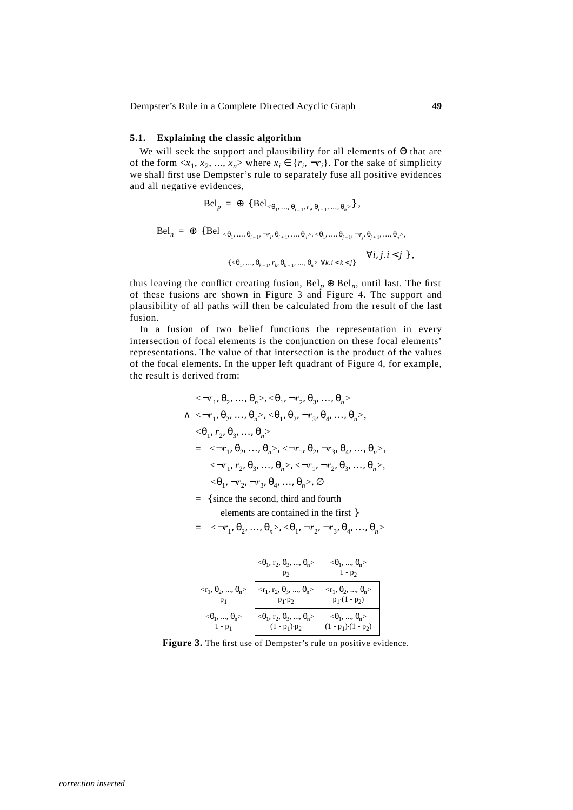Dempster's Rule in a Complete Directed Acyclic Graph **49**

# **5.1. Explaining the classic algorithm**

We will seek the support and plausibility for all elements of Θ that are of the form  $\langle x_1, x_2, ..., x_n \rangle$  where  $x_i \in \{r_i, \neg r_i\}$ . For the sake of simplicity we shall first use Dempster's rule to separately fuse all positive evidences and all negative evidences,

$$
\mathrm{Bel}_{p} = \oplus \{ \mathrm{Bel}_{<\theta_1, ..., \theta_{i-1}, r_i, \theta_{i+1}, ..., \theta_n>} \},
$$

$$
Bel_n = \bigoplus \{ Bel_{\langle <\theta_1, ..., \theta_{i-1}, \neg r_i, \theta_{i+1}, ..., \theta_n >, <\theta_1, ..., \theta_{j-1}, \neg r_j, \theta_{j+1}, ..., \theta_n >,}
$$
  

$$
\langle \{ <\theta_1, ..., \theta_{k-1}, r_k, \theta_{k+1}, ..., \theta_n > | \forall k, i < k < j \} \rangle \rangle \Big| \forall i, j, i < j \},
$$

thus leaving the conflict creating fusion,  $Bel_p \oplus Bel_n$ , until last. The first of these fusions are shown in Figure 3 and Figure 4. The support and plausibility of all paths will then be calculated from the result of the last fusion.

In a fusion of two belief functions the representation in every intersection of focal elements is the conjunction on these focal elements' representations. The value of that intersection is the product of the values of the focal elements. In the upper left quadrant of Figure 4, for example, the result is derived from:

$$
\langle \langle \neg r_1, \theta_2, ..., \theta_n \rangle, \langle \theta_1, \neg r_2, \theta_3, ..., \theta_n \rangle \rangle
$$
  
 
$$
\land \langle \langle \neg r_1, \theta_2, ..., \theta_n \rangle, \langle \theta_1, \theta_2, \neg r_3, \theta_4, ..., \theta_n \rangle,
$$
  
 
$$
\langle \theta_1, r_2, \theta_3, ..., \theta_n \rangle \rangle
$$
  
= 
$$
\langle \langle \neg r_1, \theta_2, ..., \theta_n \rangle, \langle \neg r_1, \theta_2, \neg r_3, \theta_4, ..., \theta_n \rangle,
$$
  
 
$$
\langle \neg r_1, r_2, \theta_3, ..., \theta_n \rangle, \langle \neg r_1, \neg r_2, \theta_3, ..., \theta_n \rangle,
$$
  
 
$$
\langle \theta_1, \neg r_2, \neg r_3, \theta_4, ..., \theta_n \rangle, \langle \emptyset \rangle
$$

= {since the second, third and fourth

elements are contained in the first }

$$
= \langle \langle \neg r_1, \theta_2, \dots, \theta_n \rangle, \langle \theta_1, \neg r_2, \neg r_3, \theta_4, \dots, \theta_n \rangle \rangle
$$

|                                  | $<\theta_1$ , r <sub>2</sub> , $\theta_3$ , , $\theta_n$                                                                                                  | $<\theta_1$ , , $\theta_n$ ><br>$1 - p_2$                   |
|----------------------------------|-----------------------------------------------------------------------------------------------------------------------------------------------------------|-------------------------------------------------------------|
|                                  | $\langle r_1, \theta_2, , \theta_n \rangle$ $\left  \begin{array}{c} \langle r_1, r_2, \theta_3, , \theta_n \rangle \\ p_1 \cdot p_2 \end{array} \right $ | $\langle r_1, \theta_2, , \theta_n \rangle$<br>$p_1(1-p_2)$ |
| $<\!\!\theta_1,,\,\theta_n\!\!>$ | <θ <sub>1</sub> , r <sub>2</sub> , θ <sub>3</sub> , , θ <sub>n</sub> ><br>(1 - p <sub>1</sub> )·p <sub>2</sub>                                            | $<\theta_1$ , , $\theta_n$ ><br>$(1 - p_1) (1 - p_2)$       |

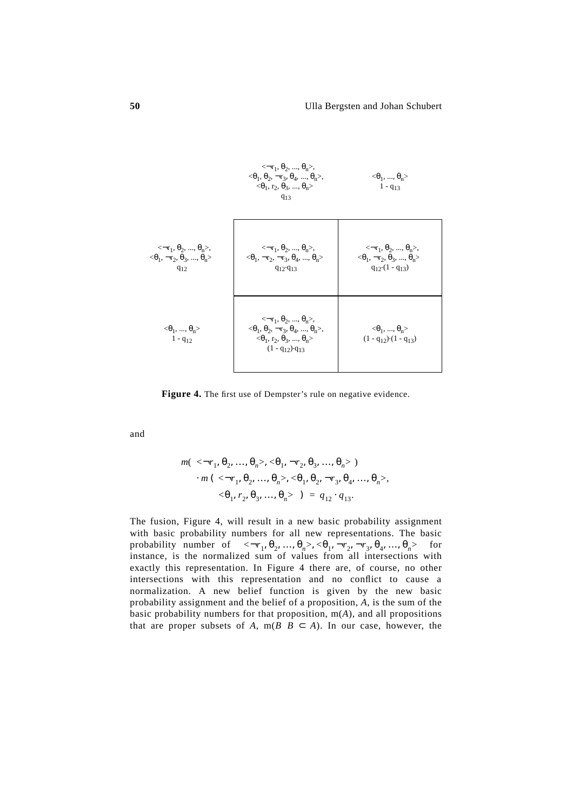|                                                                                                                                 | $\langle \langle -r_1, \theta_2, , \theta_n \rangle$<br>$<\theta_1$ , $\theta_2$ , $\neg$ r <sub>3</sub> , $\theta_4$ , , $\theta_n$<br>$\langle \theta_1, r_2, \theta_3, , \theta_n \rangle$<br>$q_{13}$  | $<\theta_1$ , , $\theta_n$ ><br>$1 - q_{13}$                                                                                                |
|---------------------------------------------------------------------------------------------------------------------------------|------------------------------------------------------------------------------------------------------------------------------------------------------------------------------------------------------------|---------------------------------------------------------------------------------------------------------------------------------------------|
| $\langle \langle -r_1, \theta_2, , \theta_n \rangle,$<br>$\langle \theta_1, \neg r_2, \theta_3, , \theta_n \rangle$<br>$q_{12}$ | $\langle \langle \neg r_1, \theta_2, , \theta_n \rangle$<br>$\langle \theta_1, \neg r_2, \neg r_3, \theta_4, , \theta_n \rangle$<br>$q_{12}$ · $q_{13}$                                                    | $\langle \langle -r_1, \theta_2, , \theta_n \rangle,$<br>$\langle \theta_1, \neg r_2, \theta_3, , \theta_n \rangle$<br>$q_{12}(1 - q_{13})$ |
| $<\theta_1$ , , $\theta_n$ ><br>$1 - q_{12}$                                                                                    | $\langle \langle \neg r_1, \theta_2, , \theta_n \rangle,$<br>$<\theta_1, \theta_2, \neg r_3, \theta_4, , \theta_n$<br>$\langle \theta_1, r_2, \theta_3, , \theta_n \rangle$<br>$(1 - q_{12}) \cdot q_{13}$ | $<\theta_1$ , , $\theta_n$ ><br>$(1 - q_{12}) (1 - q_{13})$                                                                                 |

Figure 4. The first use of Dempster's rule on negative evidence.

and

$$
m(\langle \langle \neg r_1, \theta_2, ..., \theta_n \rangle, \langle \theta_1, \neg r_2, \theta_3, ..., \theta_n \rangle) \cdot m(\langle \langle \neg r_1, \theta_2, ..., \theta_n \rangle, \langle \theta_1, \theta_2, \neg r_3, \theta_4, ..., \theta_n \rangle, \langle \theta_1, r_2, \theta_3, ..., \theta_n \rangle) = q_{12} \cdot q_{13}.
$$

The fusion, Figure 4, will result in a new basic probability assignment with basic probability numbers for all new representations. The basic probability number of  $\langle \langle \neg r_1, \theta_2, ..., \theta_n \rangle, \langle \theta_1, \neg r_2, \neg r_3, \theta_4, ..., \theta_n \rangle$  for instance, is the normalized sum of values from all intersections with exactly this representation. In Figure 4 there are, of course, no other intersections with this representation and no conflict to cause a normalization. A new belief function is given by the new basic probability assignment and the belief of a proposition, *A*, is the sum of the basic probability numbers for that proposition, m(*A*), and all propositions that are proper subsets of *A*, m( $B \mid B \subset A$ ). In our case, however, the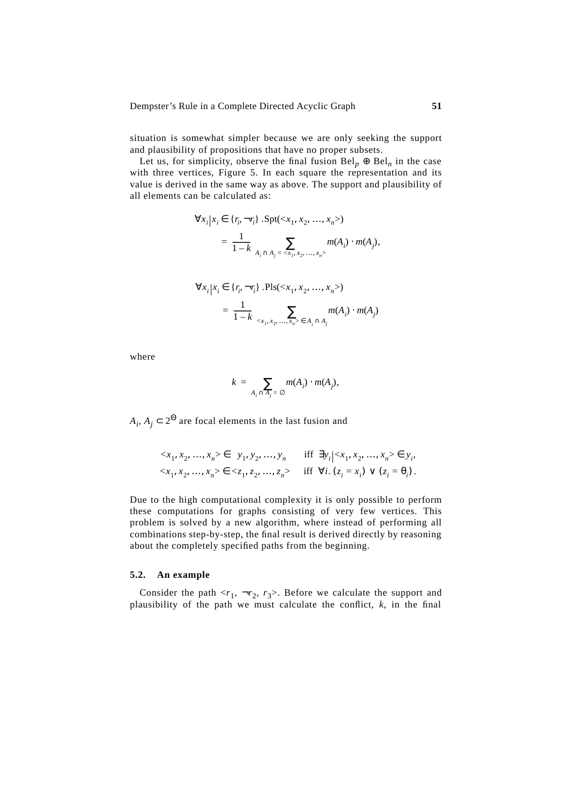situation is somewhat simpler because we are only seeking the support and plausibility of propositions that have no proper subsets.

Let us, for simplicity, observe the final fusion  $Bel_p \oplus Bel_n$  in the case with three vertices, Figure 5. In each square the representation and its value is derived in the same way as above. The support and plausibility of all elements can be calculated as:

$$
\forall x_i | x_i \in \{r_i, \neg r_i\} . \text{Spt}(x1, x2, ..., xn)\n= \frac{1}{1 - k} \sum_{A_i \cap A_j = \langle x_1, x_2, ..., x_n \rangle} m(A_i) \cdot m(A_j),
$$

$$
\forall x_i | x_i \in \{r_i, \neg r_i\}. \text{PIs}(\langle x_1, x_2, ..., x_n \rangle) \\
= \frac{1}{1 - k} \sum_{\langle x_1, x_2, ..., x_n \rangle \in A_i \cap A_j} m(A_i) \cdot m(A_j)
$$

where

$$
k = \sum_{A_i \cap A_j = \varnothing} m(A_i) \cdot m(A_j),
$$

 $A_i$ ,  $A_j \subset 2^{\Theta}$  are focal elements in the last fusion and

$$
\langle x_1, x_2, ..., x_n \rangle \in \langle y_1, y_2, ..., y_n \rangle \quad \text{iff } \exists y_i | \langle x_1, x_2, ..., x_n \rangle \in y_i,
$$
  

$$
\langle x_1, x_2, ..., x_n \rangle \in \langle z_1, z_2, ..., z_n \rangle \quad \text{iff } \forall i. (z_i = x_i) \lor (z_i = \theta_i).
$$

Due to the high computational complexity it is only possible to perform these computations for graphs consisting of very few vertices. This problem is solved by a new algorithm, where instead of performing all combinations step-by-step, the final result is derived directly by reasoning about the completely specified paths from the beginning.

# **5.2. An example**

Consider the path  $\langle r_1, \neg r_2, r_3 \rangle$ . Before we calculate the support and plausibility of the path we must calculate the conflict,  $k$ , in the final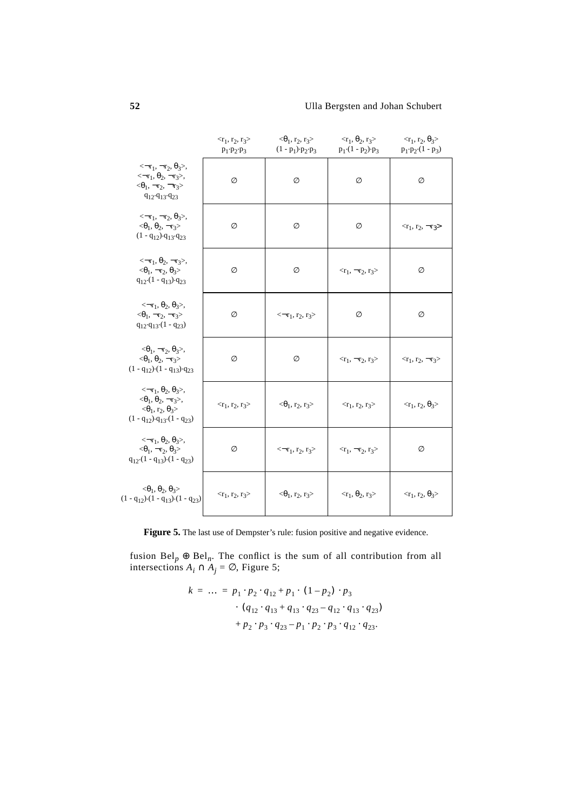|                                                                                                                                                                                                                      | $<$ r <sub>1</sub> , r <sub>2</sub> , r <sub>3</sub> ><br>$p_1 \cdot p_2 \cdot p_3$ | $<\theta_1$ , r <sub>2</sub> , r <sub>3</sub> ><br>$(1 - p_1) \cdot p_2 \cdot p_3$ | $<$ τ <sub>1</sub> , θ <sub>2</sub> , τ <sub>3</sub> ><br>$p_1(1 - p_2) \cdot p_3$ | $$<br>$p_1 \cdot p_2 \cdot (1 - p_3)$                  |
|----------------------------------------------------------------------------------------------------------------------------------------------------------------------------------------------------------------------|-------------------------------------------------------------------------------------|------------------------------------------------------------------------------------|------------------------------------------------------------------------------------|--------------------------------------------------------|
| $\langle \langle \neg r_1, \neg r_2, \theta_3 \rangle,$<br>$\leftarrow$ r <sub>1</sub> , $\theta_2$ , $\neg$ r <sub>3</sub> >,<br>$\langle \theta_1, \neg r_2, \neg r_3 \rangle$<br>$q_{12}\cdot q_{13}\cdot q_{23}$ | Ø                                                                                   | Ø                                                                                  | Ø                                                                                  | Ø                                                      |
| $\langle \langle \neg r_1, \neg r_2, \theta_3 \rangle,$<br>$\langle \theta_1, \theta_2, \neg r_3 \rangle$<br>$(1 - q_{12}) \cdot q_{13} \cdot q_{23}$                                                                | Ø                                                                                   | Ø                                                                                  | Ø                                                                                  | $\langle r_1, r_2, \neg r_3 \rangle$                   |
| $\langle \langle \neg r_1, \theta_2, \neg r_3 \rangle,$<br>$\langle \theta_1, \neg r_2, \theta_3 \rangle$<br>$q_{12} (1 - q_{13}) q_{23}$                                                                            | Ø                                                                                   | Ø                                                                                  | $\langle r_1, \neg r_2, r_3 \rangle$                                               | Ø                                                      |
| $\langle \langle -r_1, \theta_2, \theta_3 \rangle,$<br>$<\!\! \theta_1, \neg r_2, \neg r_3 \!\!>\rangle$<br>$q_{12}\cdot q_{13}\cdot (1 - q_{23})$                                                                   | Ø                                                                                   | $\leftarrow r_1, r_2, r_3$                                                         | Ø                                                                                  | Ø                                                      |
| $\langle \langle \theta_1, \neg r_2, \theta_3 \rangle,$<br>$<\!\!\theta_1,\,\theta_2,\,\neg r_3\!\!>\rangle$<br>$(1 - q_{12}) (1 - q_{13}) q_{23}$                                                                   | Ø                                                                                   | Ø                                                                                  | $\langle r_1, \neg r_2, r_3 \rangle$                                               | $\langle r_1, r_2, \neg r_3 \rangle$                   |
| $\langle \langle -r_1, \theta_2, \theta_3 \rangle,$<br>$<\!\!\theta_1,\,\theta_2,\,\neg r_3\!\!>,$<br>$\langle \theta_1, r_2, \theta_3 \rangle$<br>$(1 - q_{12}) \cdot q_{13} \cdot (1 - q_{23})$                    | $<$ r <sub>1</sub> , r <sub>2</sub> , r <sub>3</sub> >                              | $<$ θ <sub>1</sub> , r <sub>2</sub> , r <sub>3</sub> >                             | $<$ r <sub>1</sub> , r <sub>2</sub> , r <sub>3</sub> >                             | $<$ τ <sub>1</sub> , τ <sub>2</sub> , θ <sub>3</sub> > |
| $\langle \langle \neg r_1, \theta_2, \theta_3 \rangle,$<br>$\langle \theta_1, \neg r_2, \theta_3 \rangle$<br>$q_{12} (1 - q_{13}) (1 - q_{23})$                                                                      | Ø                                                                                   | $\leftarrow r_1, r_2, r_3$                                                         | $\langle r_1, \neg r_2, r_3 \rangle$                                               | Ø                                                      |
| $<\theta_1, \theta_2, \theta_3>$<br>$(1 - q_{12}) (1 - q_{13}) (1 - q_{23})$                                                                                                                                         | $<$ r <sub>1</sub> , r <sub>2</sub> , r <sub>3</sub> >                              | $<\!\!\theta_1, r_2, r_3\!\!>$                                                     | $\langle \mathbf{r}_1, \theta_2, \mathbf{r}_3 \rangle$                             | $$                                                     |

Figure 5. The last use of Dempster's rule: fusion positive and negative evidence.

fusion  $Bel_p \oplus Bel_n$ . The conflict is the sum of all contribution from all intersections  $A_i \cap A_j = \emptyset$ , Figure 5;

$$
k = \dots = p_1 \cdot p_2 \cdot q_{12} + p_1 \cdot (1 - p_2) \cdot p_3
$$

$$
\cdot (q_{12} \cdot q_{13} + q_{13} \cdot q_{23} - q_{12} \cdot q_{13} \cdot q_{23})
$$

$$
+ p_2 \cdot p_3 \cdot q_{23} - p_1 \cdot p_2 \cdot p_3 \cdot q_{12} \cdot q_{23}.
$$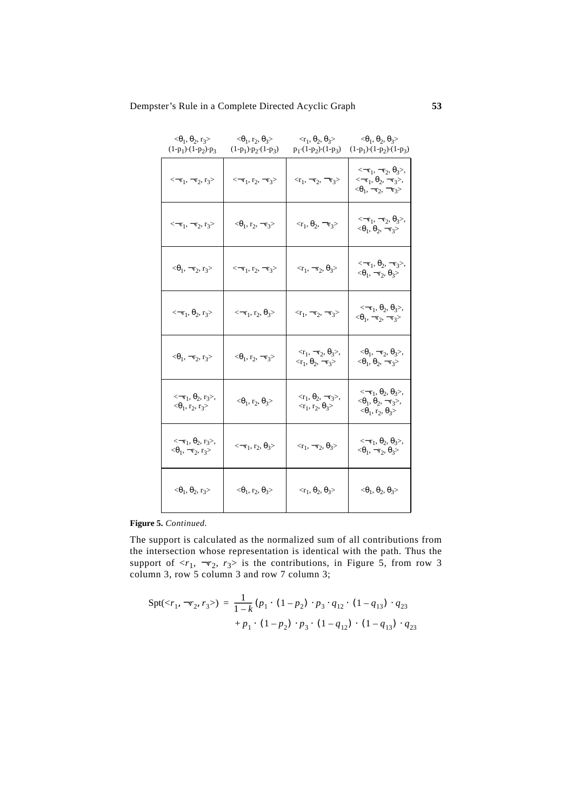# Dempster's Rule in a Complete Directed Acyclic Graph **53**

| $<\theta_1$ , $\theta_2$ , r <sub>3</sub> ><br>$(1-p_1)$ $(1-p_2)$ $-p_3$                                 | $<\theta_1$ , r <sub>2</sub> , $\theta_3$ ><br>$(1-p_1)\cdot p_2 \cdot (1-p_3)$ | $\langle \mathbf{r}_1, \theta_2, \theta_3 \rangle$<br>$p_1 \cdot (1-p_2) \cdot (1-p_3)$         | $<\theta_1, \theta_2, \theta_3>$<br>$(1-p_1) \cdot (1-p_2) \cdot (1-p_3)$                                                                                   |
|-----------------------------------------------------------------------------------------------------------|---------------------------------------------------------------------------------|-------------------------------------------------------------------------------------------------|-------------------------------------------------------------------------------------------------------------------------------------------------------------|
| $\leftarrow r_1, \leftarrow r_2, r_3$                                                                     | $\leftarrow r_1, r_2, \neg r_3$                                                 | $\langle r_1, \neg r_2, \neg r_3 \rangle$                                                       | $\langle \langle \neg r_1, \neg r_2, \theta_3 \rangle,$<br>$\leftarrow r_1, \theta_2, \neg r_3$ ,<br>$\langle \theta_1, \neg r_2, \neg r_3 \rangle$         |
| $\leftarrow r_1, \leftarrow r_2, r_3$                                                                     | $<\theta_1$ , r <sub>2</sub> , $\neg$ r <sub>3</sub> >                          | $\langle r_1, \theta_2, \neg r_3 \rangle$                                                       | $\langle \langle \neg r_1, \neg r_2, \theta_3 \rangle,$<br>$\langle \theta_1, \theta_2, \neg r_3 \rangle$                                                   |
| $<\theta_1$ , $\neg$ r <sub>2</sub> , r <sub>3</sub> >                                                    | $\leftarrow r_1, r_2, \neg r_3$                                                 | $\langle r_1, \neg r_2, \theta_3 \rangle$                                                       | $\langle \langle \neg r_1, \theta_2, \neg r_3 \rangle,$<br>$\langle \theta_1, \neg r_2, \theta_3 \rangle$                                                   |
| $\leftarrow r_1, \theta_2, r_3$                                                                           | $\leftarrow$ -τ <sub>1</sub> , τ <sub>2</sub> , θ <sub>3</sub> >                | $\langle r_1, \neg r_2, \neg r_3 \rangle$                                                       | $\langle \langle -r_1, \theta_2, \theta_3 \rangle,$<br>$\langle \theta_1, \neg r_2, \neg r_3 \rangle$                                                       |
| $<\theta_1$ , $\neg$ r <sub>2</sub> , r <sub>3</sub> >                                                    | $<\theta_1$ , r <sub>2</sub> , $\neg$ r <sub>3</sub> >                          | $\langle \langle r_1, \neg r_2, \theta_3 \rangle,$<br>$\langle r_1, \theta_2, \neg r_3 \rangle$ | $\langle \langle \theta_1, \neg r_2, \theta_3 \rangle,$<br>$\langle \theta_1, \theta_2, \neg r_3 \rangle$                                                   |
| $\langle \langle \neg r_1, \theta_2, r_3 \rangle,$<br>$\langle \theta_1, r_2, r_3 \rangle$                | $<\theta_1$ , r <sub>2</sub> , $\theta_3$ >                                     | $\langle \langle r_1, \theta_2, \neg r_3 \rangle,$<br>$\langle r_1, r_2, \theta_3 \rangle$      | $\langle \langle \neg r_1, \theta_2, \theta_3 \rangle,$<br>$<\theta_1$ , $\theta_2$ , $\neg$ r <sub>3</sub> >,<br>$\langle \theta_1, r_2, \theta_3 \rangle$ |
| $\langle \langle \neg r_1, \theta_2, r_3 \rangle,$<br>$<\!\! \theta_1, \, \neg r_2, \, r_3 \!\!> \rangle$ | $\leftarrow$ -τ <sub>1</sub> , τ <sub>2</sub> , θ <sub>3</sub> >                | $\langle r_1, \neg r_2, \theta_3 \rangle$                                                       | $\langle \langle -r_1, \theta_2, \theta_3 \rangle,$<br>$\langle \theta_1, \neg r_2, \theta_3 \rangle$                                                       |
| $<\theta_1, \theta_2, r_3>$                                                                               | $<\theta_1$ , r <sub>2</sub> , $\theta_3$ >                                     | $\langle \mathbf{r}_1, \theta_2, \theta_3 \rangle$                                              | $<\theta_1$ , $\theta_2$ , $\theta_3$ >                                                                                                                     |

# **Figure 5.** *Continued.*

The support is calculated as the normalized sum of all contributions from the intersection whose representation is identical with the path. Thus the support of  $\langle r_1, \neg r_2, r_3 \rangle$  is the contributions, in Figure 5, from row 3 column 3, row 5 column 3 and row 7 column 3;

$$
Spt() = \frac{1}{1-k} (p_1 \cdot (1-p_2) \cdot p_3 \cdot q_{12} \cdot (1-q_{13}) \cdot q_{23}
$$

$$
+ p_1 \cdot (1-p_2) \cdot p_3 \cdot (1-q_{12}) \cdot (1-q_{13}) \cdot q_{23}
$$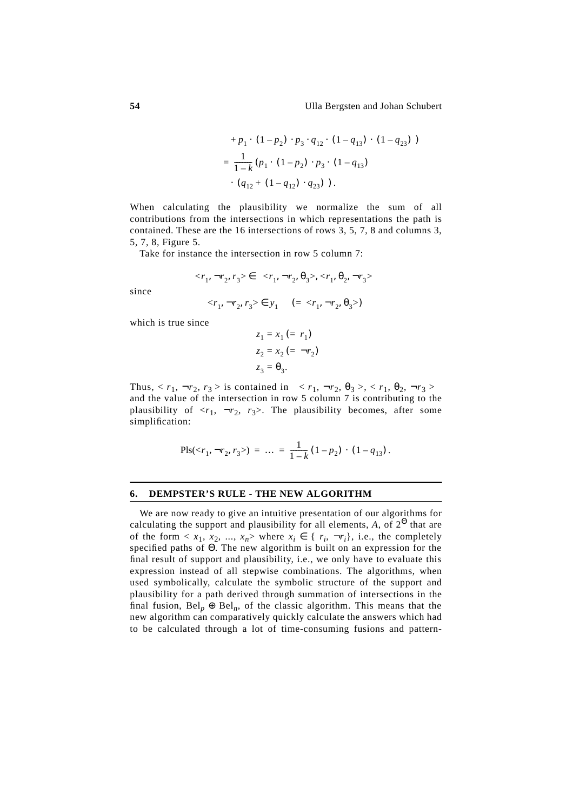+ 
$$
p_1 \cdot (1 - p_2) \cdot p_3 \cdot q_{12} \cdot (1 - q_{13}) \cdot (1 - q_{23})
$$
 )  
=  $\frac{1}{1 - k} (p_1 \cdot (1 - p_2) \cdot p_3 \cdot (1 - q_{13})$   
 $\cdot (q_{12} + (1 - q_{12}) \cdot q_{23})$ ).

When calculating the plausibility we normalize the sum of all contributions from the intersections in which representations the path is contained. These are the 16 intersections of rows 3, 5, 7, 8 and columns 3, 5, 7, 8, Figure 5.

Take for instance the intersection in row 5 column 7:

$$
\langle r_1, \neg r_2, r_3 \rangle \in \langle \langle r_1, \neg r_2, \theta_3 \rangle, \langle r_1, \theta_2, \neg r_3 \rangle \rangle
$$

since

$$
\langle r_1, \neg r_2, r_3 \rangle \in y_1 \quad (= \langle r_1, \neg r_2, \theta_3 \rangle)
$$

which is true since

$$
\begin{cases}\nz_1 = x_1 (= r_1) \\
z_2 = x_2 (= \neg r_2) \\
z_3 = \theta_3.\n\end{cases}
$$

Thus,  $\langle r_1, \neg r_2, r_3 \rangle$  is contained in  $\langle \langle r_1, \neg r_2, \theta_3 \rangle, \langle r_1, \theta_2, \neg r_3 \rangle$ and the value of the intersection in row 5 column 7 is contributing to the plausibility of  $\langle r_1, \neg r_2, r_3 \rangle$ . The plausibility becomes, after some simplification:

$$
\text{Pls}() = \dots = \frac{1}{1-k} (1-p_2) \cdot (1-q_{13}).
$$

### **6. DEMPSTER'S RULE - THE NEW ALGORITHM**

We are now ready to give an intuitive presentation of our algorithms for calculating the support and plausibility for all elements, *A*, of  $2^{\Theta}$  that are of the form  $\langle x_1, x_2, ..., x_n \rangle$  where  $x_i \in \{r_i, \neg r_i\}$ , i.e., the completely specified paths of Θ. The new algorithm is built on an expression for the final result of support and plausibility, i.e., we only have to evaluate this expression instead of all stepwise combinations. The algorithms, when used symbolically, calculate the symbolic structure of the support and plausibility for a path derived through summation of intersections in the final fusion,  $Bel_p \oplus Bel_p$ , of the classic algorithm. This means that the new algorithm can comparatively quickly calculate the answers which had to be calculated through a lot of time-consuming fusions and pattern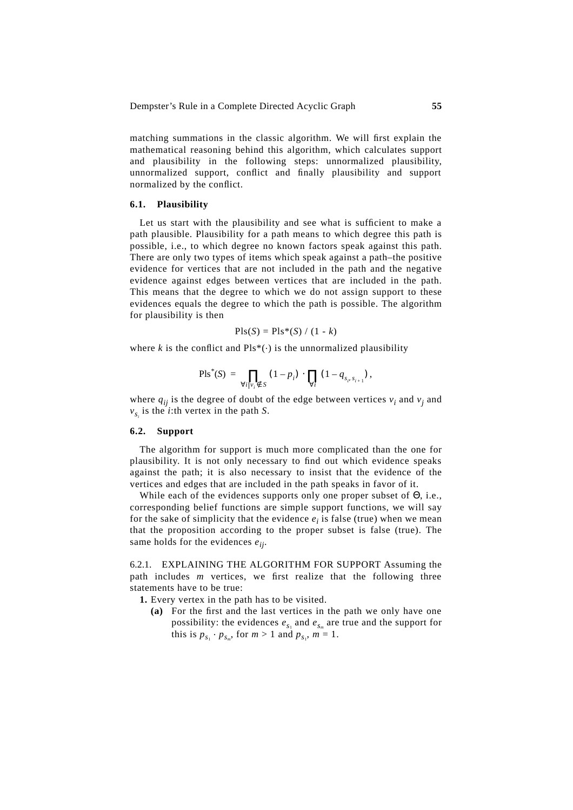matching summations in the classic algorithm. We will first explain the mathematical reasoning behind this algorithm, which calculates support and plausibility in the following steps: unnormalized plausibility, unnormalized support, conflict and finally plausibility and support normalized by the conflict.

### **6.1. Plausibility**

Let us start with the plausibility and see what is sufficient to make a path plausible. Plausibility for a path means to which degree this path is possible, i.e., to which degree no known factors speak against this path. There are only two types of items which speak against a path-the positive evidence for vertices that are not included in the path and the negative evidence against edges between vertices that are included in the path. This means that the degree to which we do not assign support to these evidences equals the degree to which the path is possible. The algorithm for plausibility is then

$$
Pls(S) = Pls*(S) / (1 - k)
$$

where  $k$  is the conflict and  $Pls^*(\cdot)$  is the unnormalized plausibility

$$
\text{Pls}^*(S) \ = \ \prod_{\forall i \mid v_i \notin S} (1 - p_i) \cdot \prod_{\forall i} (1 - q_{s_i, s_{i+1}}),
$$

where  $q_{ij}$  is the degree of doubt of the edge between vertices  $v_i$  and  $v_j$  and  $v_{s_i}$  is the *i*:th vertex in the path *S*.

### **6.2. Support**

The algorithm for support is much more complicated than the one for plausibility. It is not only necessary to find out which evidence speaks against the path; it is also necessary to insist that the evidence of the vertices and edges that are included in the path speaks in favor of it.

While each of the evidences supports only one proper subset of Θ, i.e., corresponding belief functions are simple support functions, we will say for the sake of simplicity that the evidence  $e_i$  is false (true) when we mean that the proposition according to the proper subset is false (true). The same holds for the evidences *eij*.

6.2.1. EXPLAINING THE ALGORITHM FOR SUPPORT Assuming the path includes *m* vertices, we first realize that the following three statements have to be true:

**1.** Every vertex in the path has to be visited.

**(a)** For the first and the last vertices in the path we only have one possibility: the evidences  $e_{s_1}$  and  $e_{s_m}$  are true and the support for this is  $p_{s_1} \cdot p_{s_m}$ , for  $m > 1$  and  $p_{s_1}$ ,  $m = 1$ .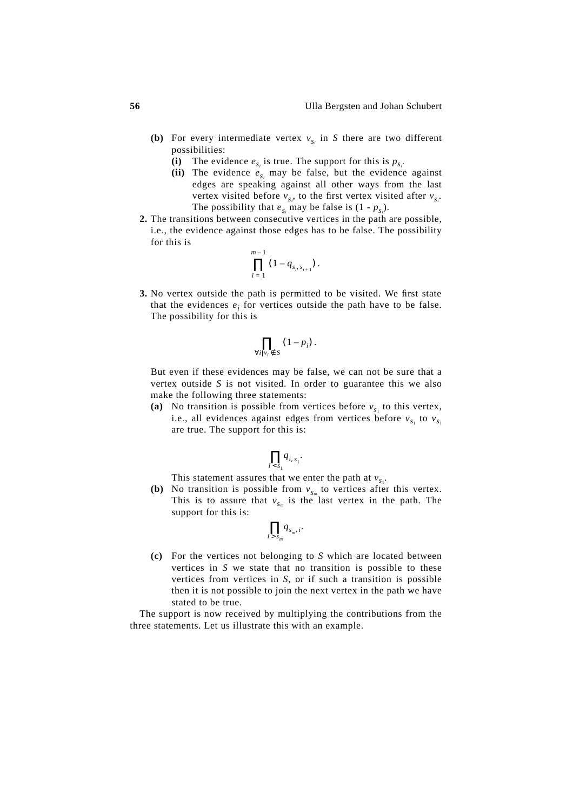- **(b)** For every intermediate vertex  $v_{s_i}$  in *S* there are two different possibilities:
	- (i) The evidence  $e_{s_i}$  is true. The support for this is  $p_{s_i}$ .
	- (ii) The evidence  $e_{s_i}$  may be false, but the evidence against edges are speaking against all other ways from the last vertex visited before  $v_{s_i}$ , to the first vertex visited after  $v_{s_i}$ . The possibility that  $e_{s_i}$  may be false is  $(1 - p_{s_i})$ .
- **2.** The transitions between consecutive vertices in the path are possible, i.e., the evidence against those edges has to be false. The possibility for this is

$$
\prod_{i=1}^{m-1} (1 - q_{s_i, s_{i+1}}).
$$

**3.** No vertex outside the path is permitted to be visited. We first state that the evidences  $e_i$  for vertices outside the path have to be false. The possibility for this is

$$
\prod_{\forall i \mid v_i \notin S} (1-p_i) .
$$

But even if these evidences may be false, we can not be sure that a vertex outside *S* is not visited. In order to guarantee this we also make the following three statements:

(a) No transition is possible from vertices before  $v_{s_1}$  to this vertex, i.e., all evidences against edges from vertices before  $v_{s_1}$  to  $v_{s_1}$ are true. The support for this is:

$$
\prod_{i < s_1} q_{i, s_1}.
$$

This statement assures that we enter the path at  $v_{s_1}$ .

**(b)** No transition is possible from  $v_{s_m}$  to vertices after this vertex. This is to assure that  $v_{s_m}$  is the last vertex in the path. The support for this is:

$$
\prod_{i>s_m}q_{s_m,i}.
$$

**(c)** For the vertices not belonging to *S* which are located between vertices in *S* we state that no transition is possible to these vertices from vertices in *S*, or if such a transition is possible then it is not possible to join the next vertex in the path we have stated to be true.

The support is now received by multiplying the contributions from the three statements. Let us illustrate this with an example.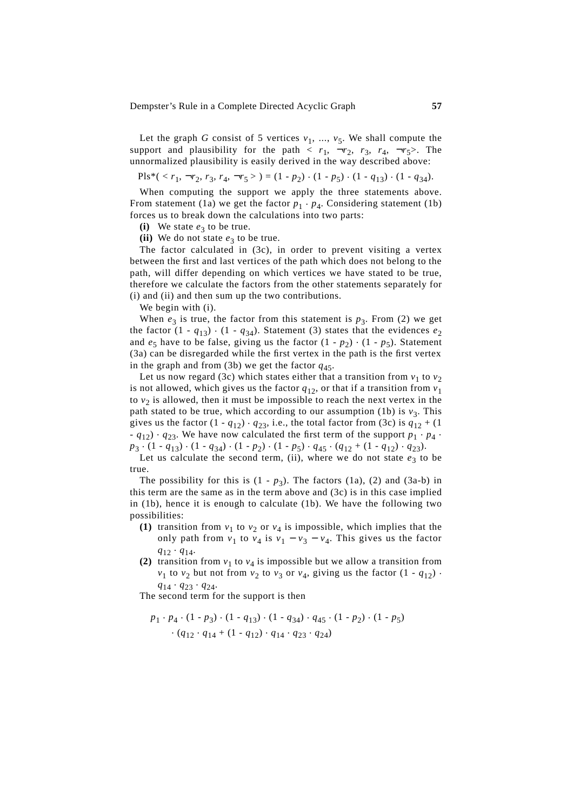Let the graph *G* consist of 5 vertices  $v_1$ , ...,  $v_5$ . We shall compute the support and plausibility for the path  $\langle r_1, \neg r_2, r_3, r_4, \neg r_5 \rangle$ . The unnormalized plausibility is easily derived in the way described above:

$$
\text{Pls}^*(\langle r_1, \neg r_2, r_3, r_4, \neg r_5 \rangle) = (1 - p_2) \cdot (1 - p_5) \cdot (1 - q_{13}) \cdot (1 - q_{34}).
$$

When computing the support we apply the three statements above. From statement (1a) we get the factor  $p_1 \cdot p_4$ . Considering statement (1b) forces us to break down the calculations into two parts:

**(i)** We state  $e_3$  to be true.

(ii) We do not state  $e_3$  to be true.

The factor calculated in (3c), in order to prevent visiting a vertex between the first and last vertices of the path which does not belong to the path, will differ depending on which vertices we have stated to be true, therefore we calculate the factors from the other statements separately for (i) and (ii) and then sum up the two contributions.

We begin with  $(i)$ .

When  $e_3$  is true, the factor from this statement is  $p_3$ . From (2) we get the factor  $(1 - q_{13}) \cdot (1 - q_{34})$ . Statement (3) states that the evidences  $e_2$ and  $e_5$  have to be false, giving us the factor  $(1 - p_2) \cdot (1 - p_5)$ . Statement (3a) can be disregarded while the first vertex in the path is the first vertex in the graph and from (3b) we get the factor  $q_{45}$ .

Let us now regard (3c) which states either that a transition from  $v_1$  to  $v_2$ is not allowed, which gives us the factor  $q_{12}$ , or that if a transition from  $v_1$ to  $v_2$  is allowed, then it must be impossible to reach the next vertex in the path stated to be true, which according to our assumption (1b) is  $v_3$ . This gives us the factor  $(1 - q_{12}) \cdot q_{23}$ , i.e., the total factor from (3c) is  $q_{12} + (1$ -  $q_{12}$ )  $\cdot$   $q_{23}$ . We have now calculated the first term of the support  $p_1 \cdot p_4$ .  $p_3 \cdot (1 - q_{13}) \cdot (1 - q_{34}) \cdot (1 - p_2) \cdot (1 - p_5) \cdot q_{45} \cdot (q_{12} + (1 - q_{12}) \cdot q_{23}).$ 

Let us calculate the second term, (ii), where we do not state  $e_3$  to be true.

The possibility for this is  $(1 - p_3)$ . The factors  $(1a)$ ,  $(2)$  and  $(3a-b)$  in this term are the same as in the term above and  $(3c)$  is in this case implied in (1b), hence it is enough to calculate (1b). We have the following two possibilities:

- **(1)** transition from  $v_1$  to  $v_2$  or  $v_4$  is impossible, which implies that the only path from  $v_1$  to  $v_4$  is  $v_1 - v_3 - v_4$ . This gives us the factor *q*<sup>12</sup> . *q*14.
- **(2)** transition from  $v_1$  to  $v_4$  is impossible but we allow a transition from  $v_1$  to  $v_2$  but not from  $v_2$  to  $v_3$  or  $v_4$ , giving us the factor  $(1 - q_{12})$ .  $q_{14} \cdot q_{23} \cdot q_{24}.$

The second term for the support is then

$$
p_1 \cdot p_4 \cdot (1 - p_3) \cdot (1 - q_{13}) \cdot (1 - q_{34}) \cdot q_{45} \cdot (1 - p_2) \cdot (1 - p_5) \cdot (q_{12} \cdot q_{14} + (1 - q_{12}) \cdot q_{14} \cdot q_{23} \cdot q_{24})
$$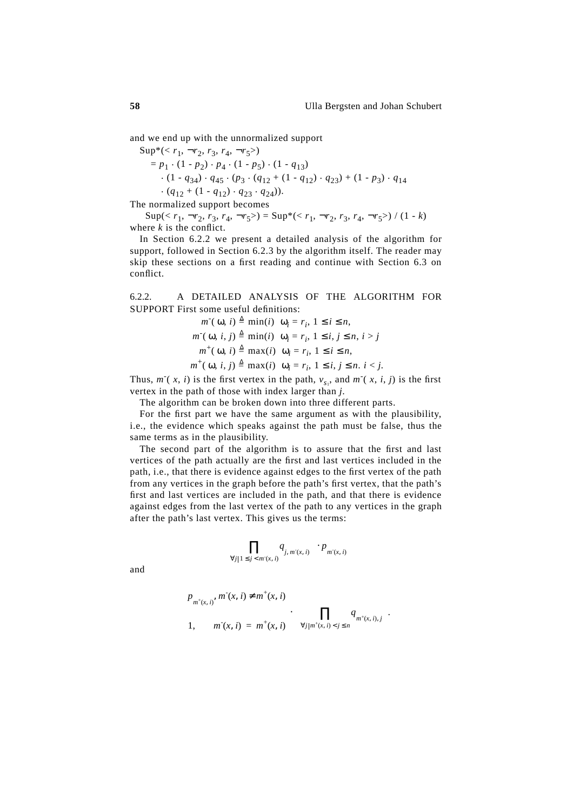and we end up with the unnormalized support

 $Sup^*(< r_1, \neg r_2, r_3, r_4, \neg r_5)$  $= p_1 \cdot (1 - p_2) \cdot p_4 \cdot (1 - p_5) \cdot (1 - q_{13})$ .  $(1 - q_{34}) \cdot q_{45} \cdot (p_3 \cdot (q_{12} + (1 - q_{12}) \cdot q_{23}) + (1 - p_3) \cdot q_{14}$  $\cdot$  (*q*<sub>12</sub> + (1 - *q*<sub>12</sub>)  $\cdot$  *q*<sub>23</sub>  $\cdot$  *q*<sub>24</sub>)).

The normalized support becomes

 $\text{Sup}(x_1, \neg r_2, r_3, r_4, \neg r_5) = \text{Sup}^*(x_1, \neg r_2, r_3, r_4, \neg r_5) / (1 - k)$ where  $k$  is the conflict.

In Section 6.2.2 we present a detailed analysis of the algorithm for support, followed in Section 6.2.3 by the algorithm itself. The reader may skip these sections on a first reading and continue with Section 6.3 on conflict.

6.2.2. A DETAILED ANALYSIS OF THE ALGORITHM FOR SUPPORT First some useful definitions:

$$
m^-(\omega, i) \triangleq \min(i) | \omega_i = r_i, 1 \le i \le n,
$$
  
\n
$$
m^-(\omega, i, j) \triangleq \min(i) | \omega_i = r_i, 1 \le i, j \le n, i > j
$$
  
\n
$$
m^+(\omega, i) \triangleq \max(i) | \omega_i = r_i, 1 \le i \le n,
$$
  
\n
$$
m^+(\omega, i, j) \triangleq \max(i) | \omega_i = r_i, 1 \le i, j \le n, i < j.
$$

Thus,  $m^-(x, i)$  is the first vertex in the path,  $v_{s_1}$ , and  $m^-(x, i, j)$  is the first vertex in the path of those with index larger than *j*.

The algorithm can be broken down into three different parts.

For the first part we have the same argument as with the plausibility, i.e., the evidence which speaks against the path must be false, thus the same terms as in the plausibility.

The second part of the algorithm is to assure that the first and last vertices of the path actually are the first and last vertices included in the path, i.e., that there is evidence against edges to the first vertex of the path from any vertices in the graph before the path's first vertex, that the path's first and last vertices are included in the path, and that there is evidence against edges from the last vertex of the path to any vertices in the graph after the path's last vertex. This gives us the terms:

$$
\bigg(\prod_{\forall j|1\leq j
$$

and

$$
\begin{cases} p_{m^+(x, i)}, m^-(x, i) \neq m^+(x, i) \\ 1, \qquad m^-(x, i) = m^+(x, i) \end{cases} \cdot \left( \prod_{\forall j | m^+(x, i) < j \leq n} q_{m^+(x, i), j} \right).
$$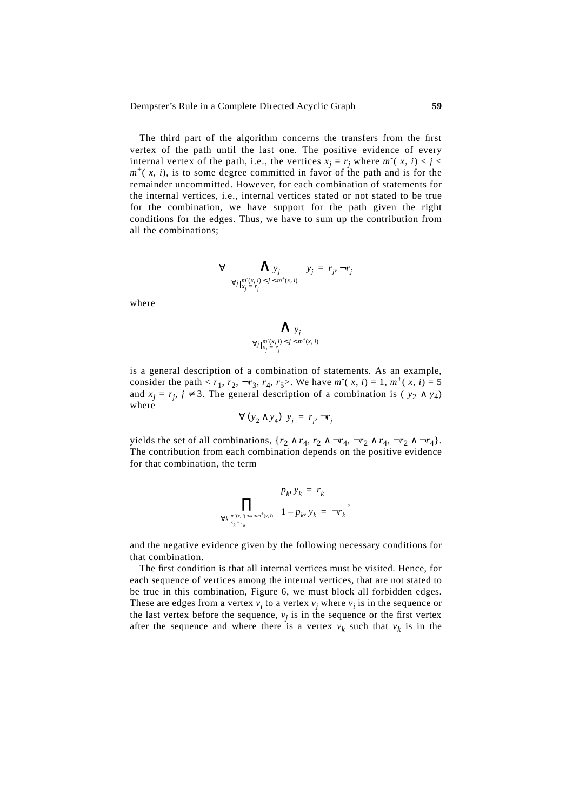Dempster's Rule in a Complete Directed Acyclic Graph **59**

The third part of the algorithm concerns the transfers from the first vertex of the path until the last one. The positive evidence of every internal vertex of the path, i.e., the vertices  $x_j = r_j$  where  $m^-(x, i) < j < j$  $m^+(x, i)$ , is to some degree committed in favor of the path and is for the remainder uncommitted. However, for each combination of statements for the internal vertices, i.e., internal vertices stated or not stated to be true for the combination, we have support for the path given the right conditions for the edges. Thus, we have to sum up the contribution from all the combinations;

$$
\forall \left( \bigwedge_{\substack{y_j \\ \forall j \mid x_j = r_j}} \bigwedge_{j < j < m^+(x, i)} y_j = r_j, \neg r_j
$$

where

$$
\bigwedge_{\forall j \mid \substack{m^r(x, i) < j < m^+(x, i) \\ y_j = r_j}}
$$

is a general description of a combination of statements. As an example, consider the path  $\langle r_1, r_2, \neg r_3, r_4, r_5 \rangle$ . We have  $m^-(x, i) = 1, m^+(x, i) = 5$ and  $x_j = r_j$ ,  $j \neq 3$ . The general description of a combination is ( $y_2 \wedge y_4$ ) where

$$
\forall (y_2 \wedge y_4) | y_j = r_j, \neg r_j
$$

yields the set of all combinations,  $\{r_2 \wedge r_4, r_2 \wedge \neg r_4, \neg r_2 \wedge r_4, \neg r_2 \wedge \neg r_4\}.$ The contribution from each combination depends on the positive evidence for that combination, the term

$$
\prod_{\forall k \mid_{x_k = r_k}} \left\{ \begin{aligned} p_k, y_k &= r_k \\ 1 - p_k, y_k &= \neg r_k \end{aligned} \right.
$$

and the negative evidence given by the following necessary conditions for that combination.

The first condition is that all internal vertices must be visited. Hence, for each sequence of vertices among the internal vertices, that are not stated to be true in this combination, Figure 6, we must block all forbidden edges. These are edges from a vertex  $v_i$  to a vertex  $v_j$  where  $v_i$  is in the sequence or the last vertex before the sequence,  $v_j$  is in the sequence or the first vertex after the sequence and where there is a vertex  $v_k$  such that  $v_k$  is in the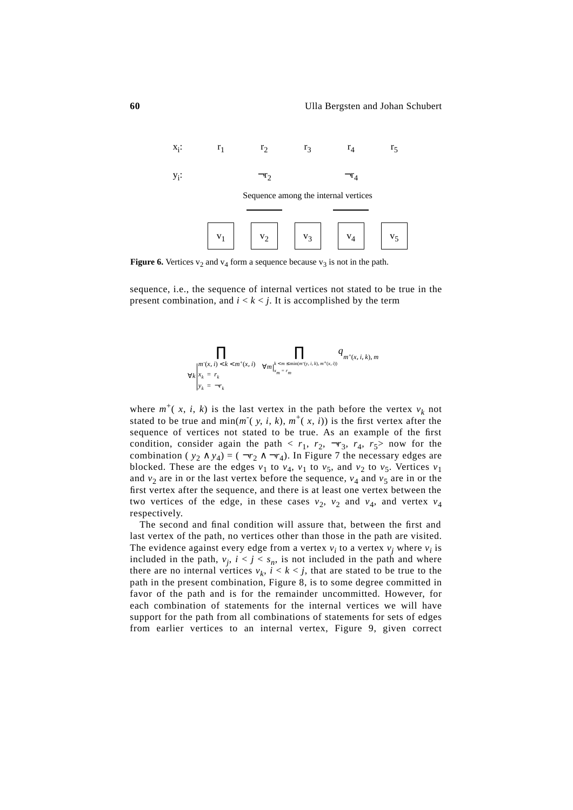

**Figure 6.** Vertices  $v_2$  and  $v_4$  form a sequence because  $v_3$  is not in the path.

sequence, i.e., the sequence of internal vertices not stated to be true in the present combination, and  $i < k < j$ . It is accomplished by the term



where  $m^+(x, i, k)$  is the last vertex in the path before the vertex  $v_k$  not stated to be true and  $min(m^-(y, i, k), m^+(x, i))$  is the first vertex after the sequence of vertices not stated to be true. As an example of the first condition, consider again the path  $\langle r_1, r_2, \neg r_3, r_4, r_5 \rangle$  now for the combination ( $y_2 \wedge y_4$ ) = ( $\neg r_2 \wedge \neg r_4$ ). In Figure 7 the necessary edges are blocked. These are the edges  $v_1$  to  $v_4$ ,  $v_1$  to  $v_5$ , and  $v_2$  to  $v_5$ . Vertices  $v_1$ and  $v_2$  are in or the last vertex before the sequence,  $v_4$  and  $v_5$  are in or the first vertex after the sequence, and there is at least one vertex between the two vertices of the edge, in these cases  $v_2$ ,  $v_2$  and  $v_4$ , and vertex  $v_4$ respectively.

The second and final condition will assure that, between the first and last vertex of the path, no vertices other than those in the path are visited. The evidence against every edge from a vertex  $v_i$  to a vertex  $v_j$  where  $v_i$  is included in the path,  $v_j$ ,  $i < j < s_n$ , is not included in the path and where there are no internal vertices  $v_k$ ,  $i < k < j$ , that are stated to be true to the path in the present combination, Figure 8, is to some degree committed in favor of the path and is for the remainder uncommitted. However, for each combination of statements for the internal vertices we will have support for the path from all combinations of statements for sets of edges from earlier vertices to an internal vertex, Figure 9, given correct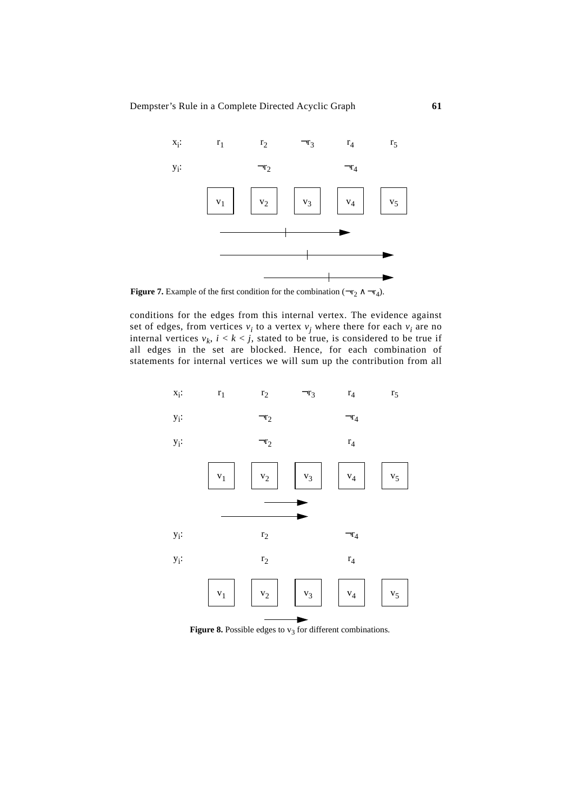Dempster's Rule in a Complete Directed Acyclic Graph **61**



**Figure 7.** Example of the first condition for the combination  $(\neg r_2 \land \neg r_4)$ .

conditions for the edges from this internal vertex. The evidence against set of edges, from vertices  $v_i$  to a vertex  $v_j$  where there for each  $v_i$  are no internal vertices  $v_k$ ,  $i < k < j$ , stated to be true, is considered to be true if all edges in the set are blocked. Hence, for each combination of statements for internal vertices we will sum up the contribution from all



**Figure 8.** Possible edges to  $v_3$  for different combinations.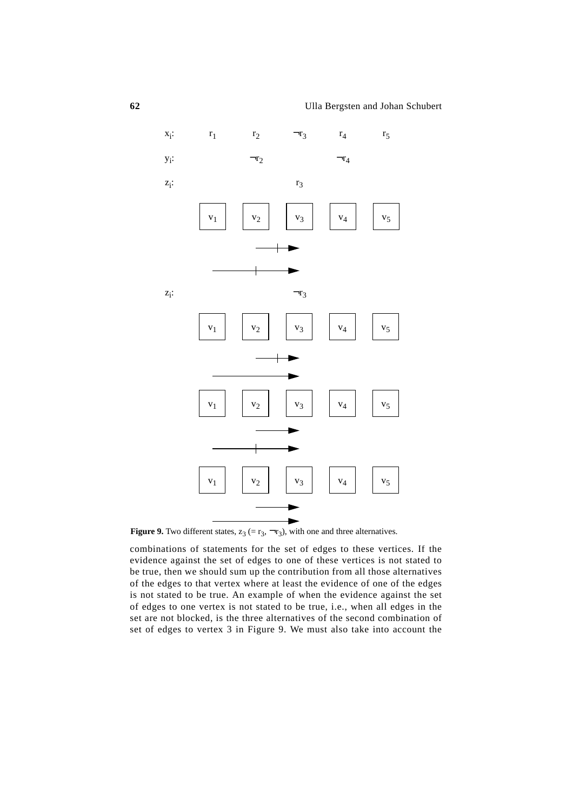

**Figure 9.** Two different states,  $z_3$  (=  $r_3$ ,  $\neg$  $r_3$ ), with one and three alternatives.

combinations of statements for the set of edges to these vertices. If the evidence against the set of edges to one of these vertices is not stated to be true, then we should sum up the contribution from all those alternatives of the edges to that vertex where at least the evidence of one of the edges is not stated to be true. An example of when the evidence against the set of edges to one vertex is not stated to be true, i.e., when all edges in the set are not blocked, is the three alternatives of the second combination of set of edges to vertex 3 in Figure 9. We must also take into account the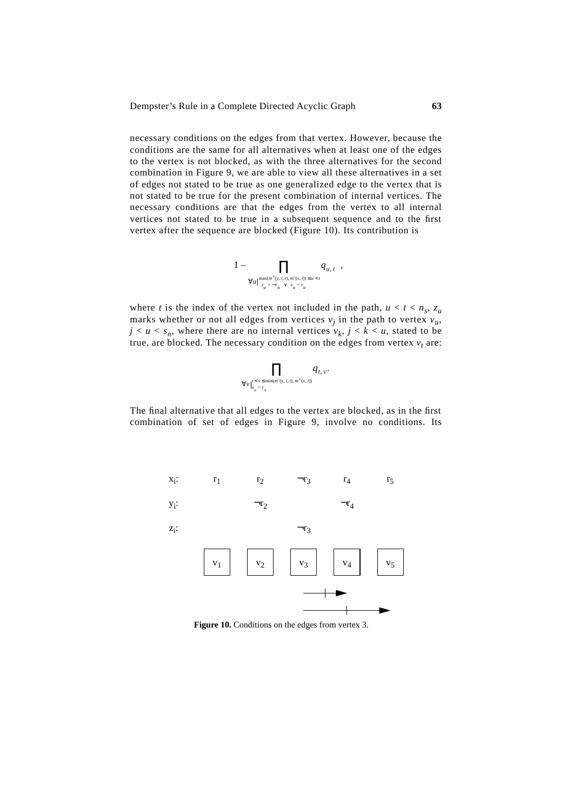necessary conditions on the edges from that vertex. However, because the conditions are the same for all alternatives when at least one of the edges to the vertex is not blocked, as with the three alternatives for the second combination in Figure 9, we are able to view all these alternatives in a set of edges not stated to be true as one generalized edge to the vertex that is not stated to be true for the present combination of internal vertices. The necessary conditions are that the edges from the vertex to all internal vertices not stated to be true in a subsequent sequence and to the first vertex after the sequence are blocked (Figure 10). Its contribution is

$$
\left(1-\prod_{\forall u\mid_{(z_u=-r_u)^\vee(x,u)=u
$$

where *t* is the index of the vertex not included in the path,  $u < t < n_s$ ,  $z_u$ marks whether or not all edges from vertices  $v_i$  in the path to vertex  $v_u$ ,  $j < u < s_n$ , where there are no internal vertices  $v_k$ ,  $j < k < u$ , stated to be true, are blocked. The necessary condition on the edges from vertex  $v_t$  are:

$$
\prod_{\forall v \mid t < v \leq \min(m^*(v, i, t), m^+(x, i))} q_{t, v}.
$$

The final alternative that all edges to the vertex are blocked, as in the first combination of set of edges in Figure 9, involve no conditions. Its



**Figure 10.** Conditions on the edges from vertex 3.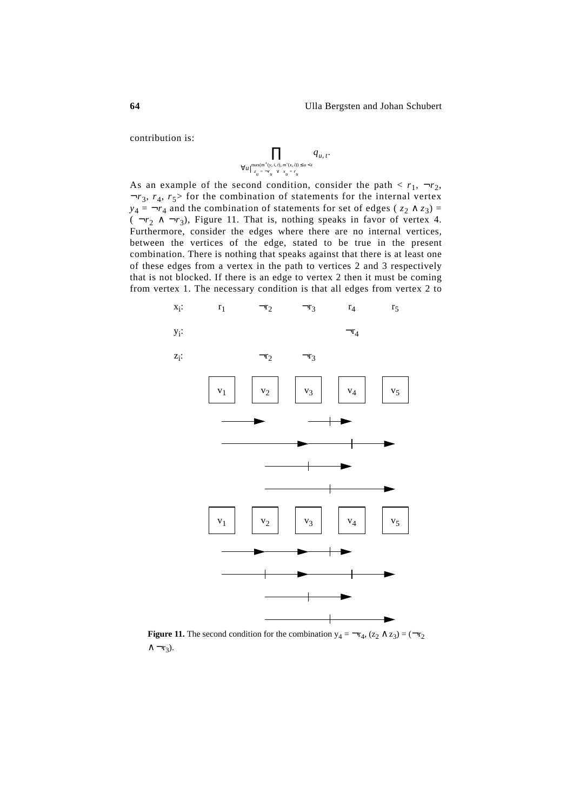contribution is:

$$
\prod_{\forall u\mid \max(m^+(y,\,i,\,t),\,m^-(x,\,i))\,\leq\,u\,<\,t\atop \left(z_u=-r_u\right)\vee\left(x_u=r_u\right)}q_{u,\,t}.
$$

As an example of the second condition, consider the path  $\langle r_1, \neg r_2, \neg r_3 \rangle$  $\neg r_3$ ,  $r_4$ ,  $r_5$ > for the combination of statements for the internal vertex *y*<sub>4</sub> =  $\neg$ *r*<sub>4</sub> and the combination of statements for set of edges ( $z_2 \wedge z_3$ ) =  $(\neg r_2 \land \neg r_3)$ , Figure 11. That is, nothing speaks in favor of vertex 4. Furthermore, consider the edges where there are no internal vertices, between the vertices of the edge, stated to be true in the present combination. There is nothing that speaks against that there is at least one of these edges from a vertex in the path to vertices 2 and 3 respectively that is not blocked. If there is an edge to vertex 2 then it must be coming from vertex 1. The necessary condition is that all edges from vertex 2 to



**Figure 11.** The second condition for the combination  $y_4 = \neg r_4$ ,  $(z_2 \land z_3) = (\neg r_2)$  $\wedge \neg r_3$ ).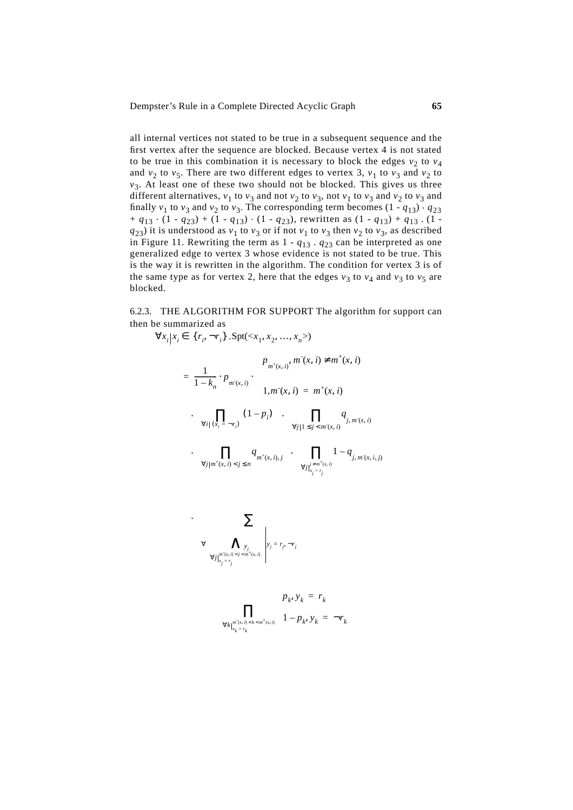all internal vertices not stated to be true in a subsequent sequence and the first vertex after the sequence are blocked. Because vertex 4 is not stated to be true in this combination it is necessary to block the edges  $v_2$  to  $v_4$ and  $v_2$  to  $v_5$ . There are two different edges to vertex 3,  $v_1$  to  $v_3$  and  $v_2$  to  $v_3$ . At least one of these two should not be blocked. This gives us three different alternatives,  $v_1$  to  $v_3$  and not  $v_2$  to  $v_3$ , not  $v_1$  to  $v_3$  and  $v_2$  to  $v_3$  and finally  $v_1$  to  $v_3$  and  $v_2$  to  $v_3$ . The corresponding term becomes  $(1 - q_{13}) \cdot q_{23}$  $+ q_{13} \cdot (1 - q_{23}) + (1 - q_{13}) \cdot (1 - q_{23})$ , rewritten as  $(1 - q_{13}) + q_{13} \cdot (1 - q_{23})$  $q_{23}$ ) it is understood as  $v_1$  to  $v_3$  or if not  $v_1$  to  $v_3$  then  $v_2$  to  $v_3$ , as described in Figure 11. Rewriting the term as  $1 - q_{13} \cdot q_{23}$  can be interpreted as one generalized edge to vertex 3 whose evidence is not stated to be true. This is the way it is rewritten in the algorithm. The condition for vertex 3 is of the same type as for vertex 2, here that the edges  $v_3$  to  $v_4$  and  $v_3$  to  $v_5$  are blocked.

6.2.3. THE ALGORITHM FOR SUPPORT The algorithm for support can then be summarized as

$$
\forall x_i | x_i \in \{r_i, \neg r_i\} . \text{Spt}(\langle x_1, x_2, ..., x_n \rangle)
$$
\n
$$
= \frac{1}{1 - k_n} \cdot p_{m(x, i)} \cdot \begin{cases} p_{m^+(x, i)} & m^-(x, i) \neq m^+(x, i) \\ 1, m^-(x, i) & = m^+(x, i) \end{cases}
$$
\n
$$
\cdot \left( \prod_{\forall i | (x_i = \neg r_i)} (1 - p_i) \right) \cdot \left( \prod_{\forall j | 1 \leq j < m^-(x, i)} q_{j, m^-(x, i)} \right)
$$
\n
$$
\cdot \left( \prod_{\forall j | m^+(x, i) < j \leq n} q_{m^+(x, i), j} \right) \cdot \left( \prod_{\forall j | j \neq m^+(x, i)} 1 - q_{j, m^-(x, i, j)} \right)
$$
\n
$$
\cdot \left( \sum_{\forall j | m^+(x, i) < j < m^+(x, i)} \left| y_j = r_j, \neg r_j \right| \right)
$$
\n
$$
\cdot \left( \sum_{\forall j | x_j = r_j} \left| \prod_{\forall j | x_j = r_k} \left\{ \frac{p_k}{y_k} \right| y_i = r_k \neg r_k \right\} \right)
$$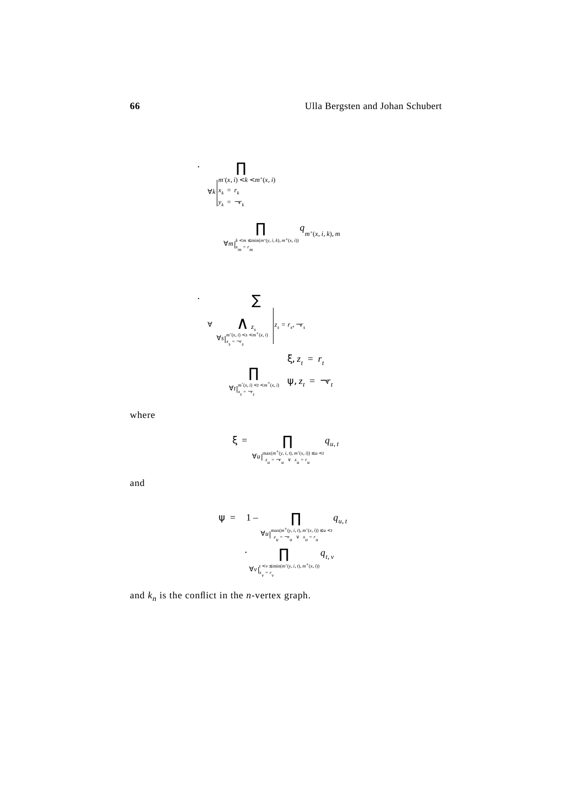$$
\left\{\prod_{\forall k \atop \forall i \in \mathbb{N}} \prod_{\substack{x_i = r_k \\ y_k = -r_k}} \mathbf{1}_{\left(\prod_{\forall m \atop \forall x_m = r_m \leq \min(m'(\mathbf{y}, i, k), m^+(\mathbf{x}, i))} q_{m^+(\mathbf{x}, i, k), m}\right)\right\}}
$$
\n
$$
\left\{\left(\prod_{\forall m \atop \forall x_m = r_m} \mathbf{1}_{\left(\prod_{\forall s \atop \forall x_s = -r_s} \mathbf{1}_{\left(\sum_{\forall s \atop \forall x_s = -r_s} \mathbf{1}_{\left(\sum_{\forall s \atop \forall t \atop \forall x_i = -r_t} \mathbf{1}_{\left(\sum_{\forall s \atop \forall t \atop \forall x_i = -r_t} \mathbf{1}_{\left(\sum_{\forall s \atop \forall t \atop \forall x_i = -r_t} \mathbf{1}_{\left(\sum_{\forall s \atop \forall t \atop \forall x_i = -r_t} \mathbf{1}_{\left(\sum_{\forall s \atop \forall t \atop \forall x_i = -r_t} \mathbf{1}_{\left(\sum_{\forall s \atop \forall t \atop \forall x_i = -r_t} \mathbf{1}_{\left(\sum_{\forall s \atop \forall t \atop \forall x_i = -r_t} \mathbf{1}_{\left(\sum_{\forall s \atop \forall t \atop \forall x_i = -r_t} \mathbf{1}_{\left(\sum_{\forall s \atop \forall t \atop \forall x_i = -r_t} \mathbf{1}_{\left(\sum_{\forall s \atop \forall t \atop \forall x_i = -r_t} \mathbf{1}_{\left(\sum_{\forall s \atop \forall t \atop \forall t \atop \forall t \atop \forall t \atop \forall t \atop \forall t \atop \forall t \atop \forall t \atop \forall t \atop \forall t \atop \forall t \atop \forall t \atop \forall t \atop \forall t \atop \forall t \atop \forall t \atop \forall t \atop \forall t \atop \forall t \atop \forall t \atop \forall t \atop \forall t \atop \forall t \atop \forall t \atop \forall t \atop \forall t \atop \forall t \atop \forall t \atop \forall t \atop \forall t \atop \forall t \atop \forall t \atop \forall t \atop \forall t \atop \forall t \atop \forall t \atop \forall t \atop \forall t \atop
$$

where

$$
\xi = \prod_{\forall u \mid \max(m^+(y_i, i, t), m^-(x_i, i)) \le u < t \atop (z_u = -r_u)^{\vee}(x_u = r_u)} q_{u, t}
$$

and

$$
\Psi = \left(1 - \prod_{\forall u \mid \max(m^+(v, i, t), m^*(x, i)) \le u < t} q_{u, t}\right)
$$

$$
\cdot \prod_{\forall v \mid (\zeta_u = -r_u) \vee (\zeta_u = r_u)} q_{t, v}
$$

$$
\forall v \mid_{x_v = r_v}^{\ell \le v \le \min(m^*(v, i, t), m^+(x, i))} q_{t, v}
$$

and  $k_n$  is the conflict in the *n*-vertex graph.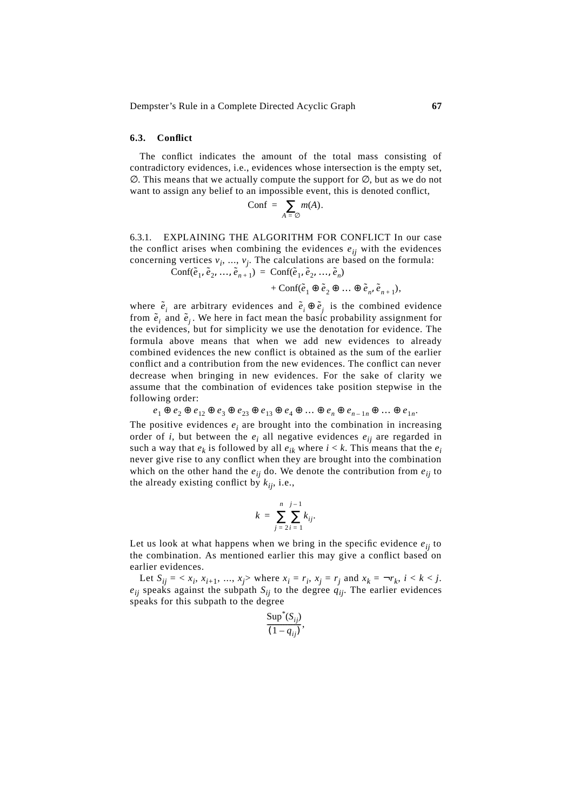#### **6.3. Conflict**

The conflict indicates the amount of the total mass consisting of contradictory evidences, i.e., evidences whose intersection is the empty set,  $\varnothing$ . This means that we actually compute the support for  $\varnothing$ , but as we do not want to assign any belief to an impossible event, this is denoted conflict,

$$
Conf = \sum_{A = \emptyset} m(A).
$$

6.3.1. EXPLAINING THE ALGORITHM FOR CONFLICT In our case the conflict arises when combining the evidences  $e_{ij}$  with the evidences concerning vertices  $v_i$ , ...,  $v_j$ . The calculations are based on the formula:  $\text{Conf}(\tilde{e}_1, \tilde{e}_2, \ldots, \tilde{e}_{n+1}) = \text{Conf}(\tilde{e}_1, \tilde{e}_2, \ldots, \tilde{e}_n)$ 

 $+$  Conf $(\tilde{e}_1 \oplus \tilde{e}_2 \oplus ... \oplus \tilde{e}_n, \tilde{e}_{n+1}),$ 

where 
$$
\tilde{e}_i
$$
 are arbitrary evidences and  $\tilde{e}_i \oplus \tilde{e}_j$  is the combined evidence  
from  $\tilde{e}_i$  and  $\tilde{e}_j$ . We here in fact mean the basic probability assignment for  
the evidences, but for simplicity we use the denotation for evidence. The  
formula above means that when we add new evidences to already  
combined evidences the new conflict is obtained as the sum of the earlier  
conflict and a contribution from the new evidences. The conflict can never  
decrease when bringing in new evidences. For the sake of clarity we  
assume that the combination of evidences take position stepwise in the  
following order:

The positive evidences  $e_i$  are brought into the combination in increasing order of *i*, but between the  $e_i$  all negative evidences  $e_{ii}$  are regarded in such a way that  $e_k$  is followed by all  $e_{ik}$  where  $i < k$ . This means that the  $e_i$ never give rise to any conflict when they are brought into the combination which on the other hand the  $e_{ij}$  do. We denote the contribution from  $e_{ij}$  to the already existing conflict by  $k_{ii}$ , i.e.,  $e_1 \oplus e_2 \oplus e_{12} \oplus e_3 \oplus e_{23} \oplus e_{13} \oplus e_4 \oplus \ldots \oplus e_n \oplus e_{n-1n} \oplus \ldots \oplus e_{1n}.$ 

$$
k = \sum_{j=2}^{n} \sum_{i=1}^{j-1} k_{ij}.
$$

Let us look at what happens when we bring in the specific evidence  $e_{ii}$  to the combination. As mentioned earlier this may give a conflict based on earlier evidences.

Let  $S_{ij} = \langle x_i, x_{i+1}, ..., x_j \rangle$  where  $x_i = r_i, x_j = r_j$  and  $x_k = \neg r_k, i \le k \le j$ . *eij* speaks against the subpath *Sij* to the degree *qij*. The earlier evidences speaks for this subpath to the degree

$$
\frac{\text{Sup}^*(S_{ij})}{(1-q_{ij})},
$$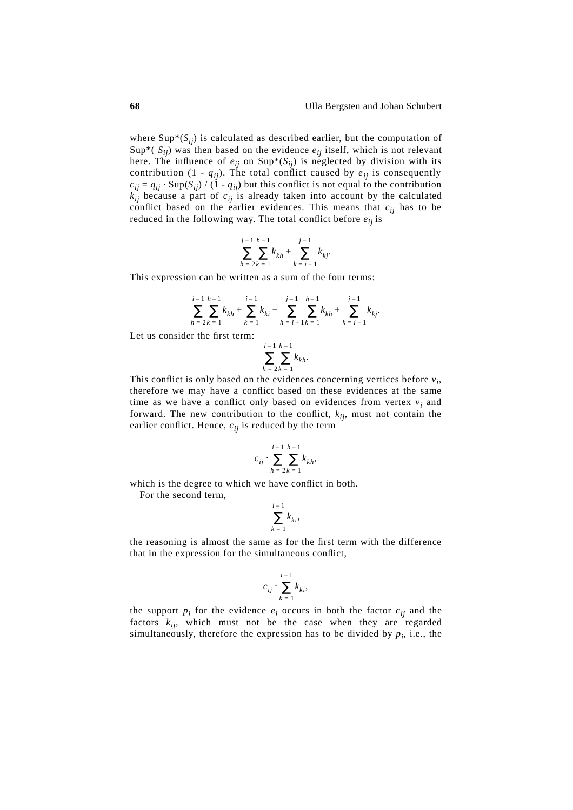where  $\text{Sup}^*(S_{ij})$  is calculated as described earlier, but the computation of Sup<sup>\*</sup>( $S_{ij}$ ) was then based on the evidence  $e_{ij}$  itself, which is not relevant here. The influence of  $e_{ij}$  on  $\text{Sup}^*(S_{ij})$  is neglected by division with its contribution  $(1 - q_{ij})$ . The total conflict caused by  $e_{ij}$  is consequently  $c_{ii} = q_{ii} \cdot \text{Sup}(S_{ii}) / (1 - q_{ii})$  but this conflict is not equal to the contribution  $k_{ij}$  because a part of  $c_{ij}$  is already taken into account by the calculated conflict based on the earlier evidences. This means that  $c_{ij}$  has to be reduced in the following way. The total conflict before  $e_{ij}$  is

$$
\sum_{h=2}^{j-1} \sum_{k=1}^{h-1} k_{kh} + \sum_{k=i+1}^{j-1} k_{kj}.
$$

This expression can be written as a sum of the four terms:

$$
\sum_{h=2}^{i-1} \sum_{k=1}^{h-1} k_{kh} + \sum_{k=1}^{i-1} k_{ki} + \sum_{h=i+1}^{j-1} \sum_{k=1}^{h-1} k_{kh} + \sum_{k=i+1}^{j-1} k_{kj}.
$$

Let us consider the first term:

$$
\sum_{h=2}^{i-1} \sum_{k=1}^{h-1} k_{kh}.
$$

This conflict is only based on the evidences concerning vertices before *vi*, therefore we may have a conflict based on these evidences at the same time as we have a conflict only based on evidences from vertex  $v_i$  and forward. The new contribution to the conflict,  $k_{ij}$ , must not contain the earlier conflict. Hence,  $c_{ij}$  is reduced by the term

$$
c_{ij} \cdot \sum_{h=2k}^{i-1} \sum_{k=1}^{h-1} k_{kh},
$$

which is the degree to which we have conflict in both.

For the second term,

$$
\sum_{k=1}^{i-1} k_{ki},
$$

the reasoning is almost the same as for the first term with the difference that in the expression for the simultaneous conflict,

$$
c_{ij} \cdot \sum_{k=1}^{i-1} k_{ki},
$$

the support  $p_i$  for the evidence  $e_i$  occurs in both the factor  $c_{ij}$  and the factors  $k_{ij}$ , which must not be the case when they are regarded simultaneously, therefore the expression has to be divided by  $p_i$ , i.e., the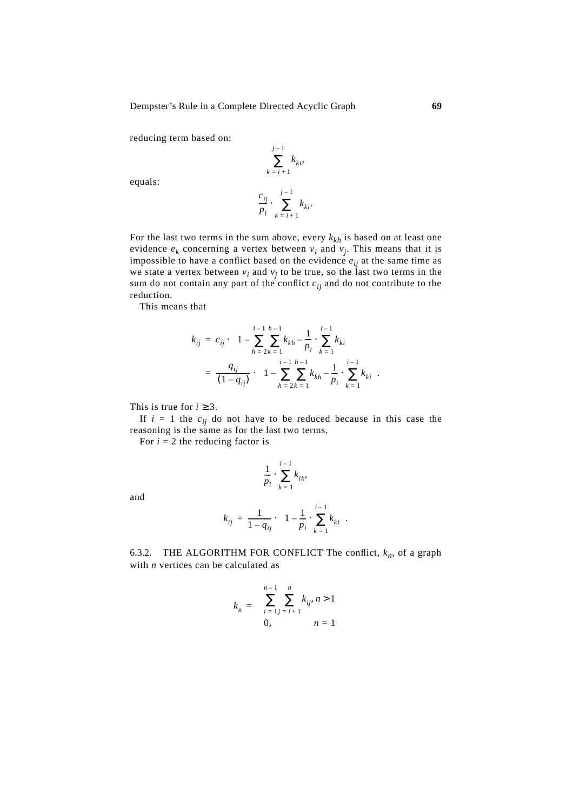reducing term based on:

$$
\sum_{k=i+1}^{j-1} k_{ki},
$$

equals:

$$
\frac{c_{ij}}{p_i} \cdot \sum_{k=i+1}^{j-1} k_{ki}.
$$

For the last two terms in the sum above, every  $k_{kh}$  is based on at least one evidence  $e_k$  concerning a vertex between  $v_i$  and  $v_j$ . This means that it is impossible to have a conflict based on the evidence  $e_{ij}$  at the same time as we state a vertex between  $v_i$  and  $v_j$  to be true, so the last two terms in the sum do not contain any part of the conflict  $c_{ij}$  and do not contribute to the reduction.

This means that

$$
k_{ij} = c_{ij} \cdot \left( 1 - \sum_{h=2k-1}^{i-1} \sum_{k=h}^{h-1} k_{kh} - \frac{1}{p_i} \cdot \sum_{k=1}^{i-1} k_{ki} \right)
$$
  
= 
$$
\frac{q_{ij}}{(1 - q_{ij})} \cdot \left( 1 - \sum_{h=2k-1}^{i-1} \sum_{k=h}^{h-1} k_{kh} - \frac{1}{p_i} \cdot \sum_{k=1}^{i-1} k_{ki} \right).
$$

This is true for  $i \geq 3$ .

If  $i = 1$  the  $c_{ij}$  do not have to be reduced because in this case the reasoning is the same as for the last two terms.

For  $i = 2$  the reducing factor is

$$
\frac{1}{p_i} \cdot \sum_{k=1}^{i-1} k_{ik},
$$

and

$$
k_{ij} = \frac{1}{1 - q_{ij}} \cdot \left( 1 - \frac{1}{p_i} \cdot \sum_{k=1}^{i-1} k_{ki} \right).
$$

6.3.2. THE ALGORITHM FOR CONFLICT The conflict,  $k_n$ , of a graph with *n* vertices can be calculated as

$$
k_n = \begin{cases} \sum_{i=1}^{n-1} \sum_{j=i+1}^{n} k_{ij}, & n > 1 \\ 0, & n = 1 \end{cases}
$$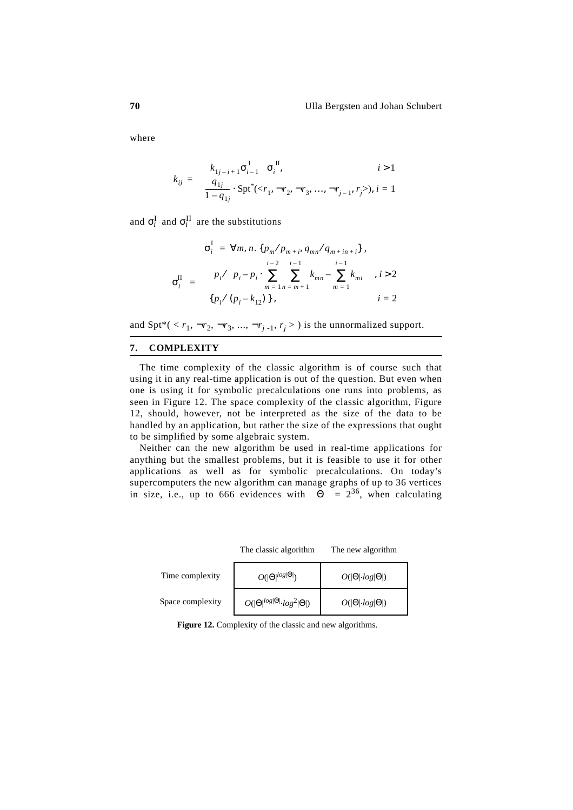where

$$
k_{ij} = \begin{cases} \left(k_{1j-i+1}\sigma_{i-1}^{1}\right)\sigma_{i}^{II}, & i > 1\\ \frac{q_{1j}}{1-q_{1j}} \cdot \text{Spt}^{*}(, i = 1 \end{cases}
$$

and  $\sigma_i^{\text{I}}$  and  $\sigma_i^{\text{II}}$  are the substitutions

$$
\sigma_i^{\text{I}} = \forall m, n. \{p_m/p_{m+i}, q_{mn}/q_{m+in+i}\},
$$

$$
\sigma_i^{\text{II}} = \left\{ \left\{ p_i / \left( p_i - p_i \cdot \sum_{m=1}^{i-2} \sum_{n=m+1}^{i-1} k_{mn} - \sum_{m=1}^{i-1} k_{mi} \right) \right\}, i > 2
$$

$$
\left\{ p_i / (p_i - k_{12}) \right\}, i = 2
$$

and Spt\*( $\langle r_1, \neg r_2, \neg r_3, \dots, \neg r_{j-1}, r_j \rangle$ ) is the unnormalized support.

### **7. COMPLEXITY**

The time complexity of the classic algorithm is of course such that using it in any real-time application is out of the question. But even when one is using it for symbolic precalculations one runs into problems, as seen in Figure 12. The space complexity of the classic algorithm, Figure 12, should, however, not be interpreted as the size of the data to be handled by an application, but rather the size of the expressions that ought to be simplified by some algebraic system.

Neither can the new algorithm be used in real-time applications for anything but the smallest problems, but it is feasible to use it for other applications as well as for symbolic precalculations. On today's supercomputers the new algorithm can manage graphs of up to 36 vertices in size, i.e., up to 666 evidences with  $|\Theta| = 2^{36}$ , when calculating

|                  | The classic algorithm                          | The new algorithm              |
|------------------|------------------------------------------------|--------------------------------|
| Time complexity  | $O( \Theta ^{log \Theta })$                    | $O( \Theta \cdot log \Theta )$ |
| Space complexity | $O( \Theta ^{log \Theta }\cdot log^2 \Theta )$ | $O( \Theta \cdot log \Theta )$ |

**Figure 12.** Complexity of the classic and new algorithms.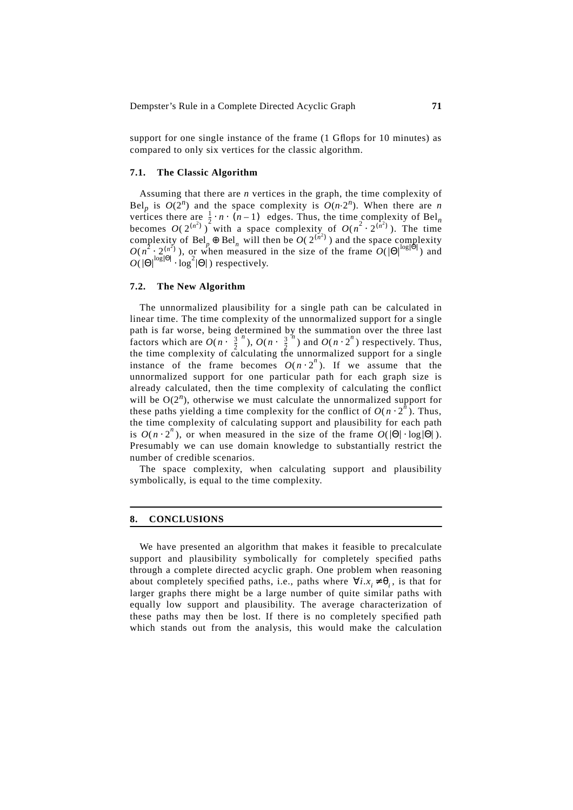support for one single instance of the frame (1 Gflops for 10 minutes) as compared to only six vertices for the classic algorithm.

# **7.1. The Classic Algorithm**

Assuming that there are *n* vertices in the graph, the time complexity of Bel<sub>p</sub> is  $O(2^n)$  and the space complexity is  $O(n \cdot 2^n)$ . When there are *n* vertices there are  $\frac{1}{2} \cdot n \cdot (n-1)$  edges. Thus, the time complexity of Bel<sub>n</sub> becomes  $O(2^{(n^2)})$  with a space complexity of  $O(n^2 \cdot 2^{(n^2)})$ . The time complexity of Bel<sub>p</sub>  $\oplus$  Bel<sub>n</sub> will then be  $O(2^{n^2})$  and the space complexity  $O(n^2 \cdot 2_{\infty}^{(n^2)})$ , or when measured in the size of the frame  $O(|\Theta|^{\log|\Theta|})$  and  $O(|\Theta|^{\log |\Theta|} \cdot \log^2 |\Theta|)$  respectively.

### **7.2. The New Algorithm**

The unnormalized plausibility for a single path can be calculated in linear time. The time complexity of the unnormalized support for a single path is far worse, being determined by the summation over the three last factors which are  $O(n \cdot (\frac{3}{2})^n)$ ,  $O(n \cdot (\frac{3}{2})^n)$  and  $O(n \cdot 2^n)$  respectively. Thus, the time complexity of calculating the unnormalized support for a single instance of the frame becomes  $O(n \cdot 2^n)$ . If we assume that the unnormalized support for one particular path for each graph size is already calculated, then the time complexity of calculating the conflict will be  $O(2^n)$ , otherwise we must calculate the unnormalized support for these paths yielding a time complexity for the conflict of  $O(n \cdot 2^n)$ . Thus, the time complexity of calculating support and plausibility for each path is  $O(n \cdot 2^n)$ , or when measured in the size of the frame  $O(|\Theta| \cdot \log |\Theta|)$ . Presumably we can use domain knowledge to substantially restrict the number of credible scenarios.

The space complexity, when calculating support and plausibility symbolically, is equal to the time complexity.

# **8. CONCLUSIONS**

We have presented an algorithm that makes it feasible to precalculate support and plausibility symbolically for completely specified paths through a complete directed acyclic graph. One problem when reasoning about completely specified paths, i.e., paths where  $\forall i.x_i \neq \theta_i$ , is that for larger graphs there might be a large number of quite similar paths with equally low support and plausibility. The average characterization of these paths may then be lost. If there is no completely specified path which stands out from the analysis, this would make the calculation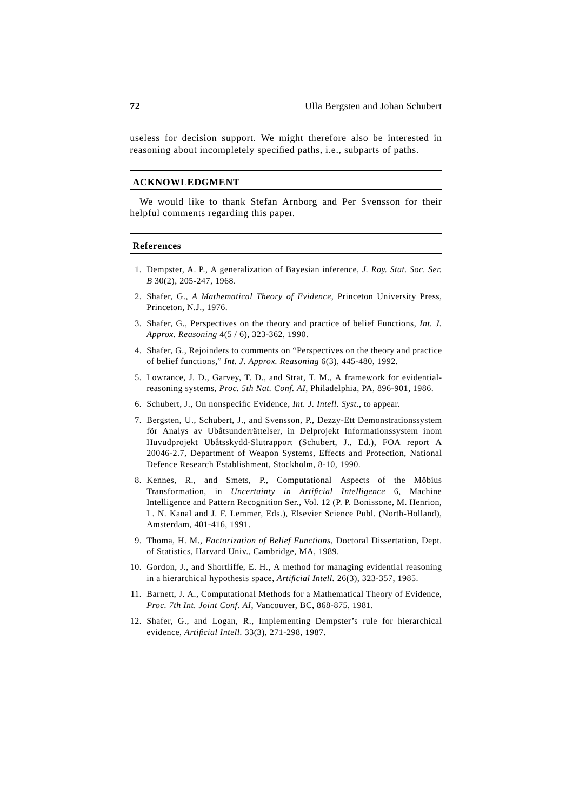useless for decision support. We might therefore also be interested in reasoning about incompletely specified paths, i.e., subparts of paths.

### **ACKNOWLEDGMENT**

We would like to thank Stefan Arnborg and Per Svensson for their helpful comments regarding this paper.

### **References**

- 1. Dempster, A. P., A generalization of Bayesian inference, *J. Roy. Stat. Soc. Ser. B* 30(2), 205-247, 1968.
- 2. Shafer, G., *A Mathematical Theory of Evidence*, Princeton University Press, Princeton, N.J., 1976.
- 3. Shafer, G., Perspectives on the theory and practice of belief Functions, *Int. J. Approx. Reasoning* 4(5 / 6), 323-362, 1990.
- 4. Shafer, G., Rejoinders to comments on "Perspectives on the theory and practice of belief functions," *Int. J. Approx. Reasoning* 6(3), 445-480, 1992.
- 5. Lowrance, J. D., Garvey, T. D., and Strat, T. M., A framework for evidentialreasoning systems, *Proc. 5th Nat. Conf. AI*, Philadelphia, PA, 896-901, 1986.
- 6. Schubert, J., On nonspecific Evidence, *Int. J. Intell. Syst.*, to appear.
- 7. Bergsten, U., Schubert, J., and Svensson, P., Dezzy-Ett Demonstrationssystem för Analys av Ubåtsunderrättelser, in Delprojekt Informationssystem inom Huvudprojekt Ubåtsskydd-Slutrapport (Schubert, J., Ed.), FOA report A 20046-2.7, Department of Weapon Systems, Effects and Protection, National Defence Research Establishment, Stockholm, 8-10, 1990.
- 8. Kennes, R., and Smets, P., Computational Aspects of the Möbius Transformation, in *Uncertainty in Artificial Intelligence* 6, Machine Intelligence and Pattern Recognition Ser., Vol. 12 (P. P. Bonissone, M. Henrion, L. N. Kanal and J. F. Lemmer, Eds.), Elsevier Science Publ. (North-Holland), Amsterdam, 401-416, 1991.
- 9. Thoma, H. M., *Factorization of Belief Functions*, Doctoral Dissertation, Dept. of Statistics, Harvard Univ., Cambridge, MA, 1989.
- 10. Gordon, J., and Shortliffe, E. H., A method for managing evidential reasoning in a hierarchical hypothesis space, *Artificial Intell.* 26(3), 323-357, 1985.
- 11. Barnett, J. A., Computational Methods for a Mathematical Theory of Evidence, *Proc. 7th Int. Joint Conf. AI*, Vancouver, BC, 868-875, 1981.
- 12. Shafer, G., and Logan, R., Implementing Dempster's rule for hierarchical evidence, *Artificial Intell.* 33(3), 271-298, 1987.